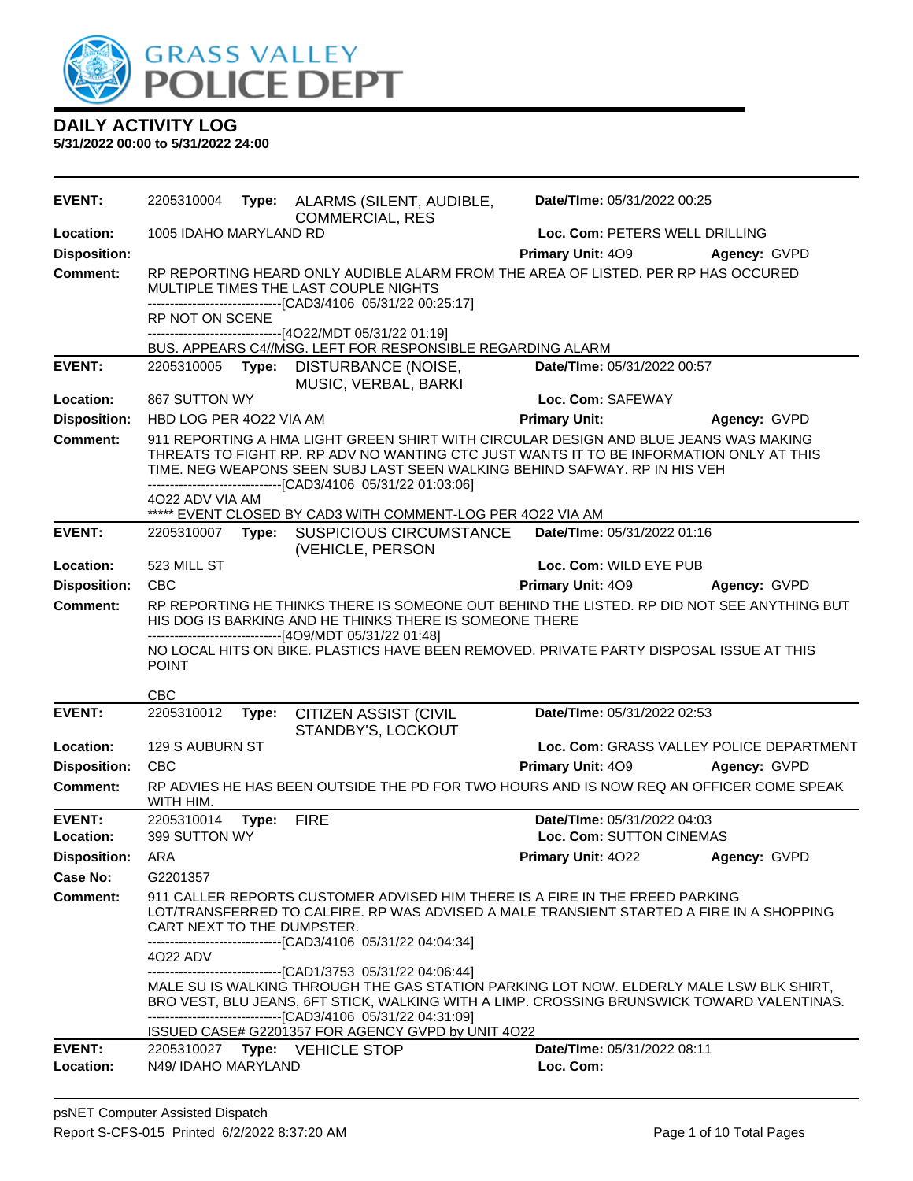

| 1005 IDAHO MARYLAND RD<br>Loc. Com: PETERS WELL DRILLING<br>Location:<br><b>Disposition:</b><br><b>Primary Unit: 409</b><br>Agency: GVPD<br>RP REPORTING HEARD ONLY AUDIBLE ALARM FROM THE AREA OF LISTED. PER RP HAS OCCURED<br><b>Comment:</b><br>MULTIPLE TIMES THE LAST COUPLE NIGHTS<br>--------------------------[CAD3/4106_05/31/22 00:25:17]<br>RP NOT ON SCENE<br>------------------------------[4O22/MDT 05/31/22 01:19]<br>BUS. APPEARS C4//MSG. LEFT FOR RESPONSIBLE REGARDING ALARM<br><b>EVENT:</b><br>2205310005 Type: DISTURBANCE (NOISE,<br>Date/TIme: 05/31/2022 00:57<br>MUSIC, VERBAL, BARKI<br>867 SUTTON WY<br>Location:<br>Loc. Com: SAFEWAY<br><b>Disposition:</b><br><b>Primary Unit:</b><br>HBD LOG PER 4022 VIA AM<br>Agency: GVPD<br><b>Comment:</b><br>911 REPORTING A HMA LIGHT GREEN SHIRT WITH CIRCULAR DESIGN AND BLUE JEANS WAS MAKING<br>THREATS TO FIGHT RP. RP ADV NO WANTING CTC JUST WANTS IT TO BE INFORMATION ONLY AT THIS<br>TIME. NEG WEAPONS SEEN SUBJ LAST SEEN WALKING BEHIND SAFWAY. RP IN HIS VEH<br>------------------------[CAD3/4106_05/31/22 01:03:06]<br>4022 ADV VIA AM<br>***** EVENT CLOSED BY CAD3 WITH COMMENT-LOG PER 4022 VIA AM<br><b>EVENT:</b><br>Date/TIme: 05/31/2022 01:16<br>2205310007 Type: SUSPICIOUS CIRCUMSTANCE<br>(VEHICLE, PERSON<br>523 MILL ST<br>Loc. Com: WILD EYE PUB<br>Location:<br><b>CBC</b><br><b>Disposition:</b><br>Primary Unit: 409<br>Agency: GVPD<br>RP REPORTING HE THINKS THERE IS SOMEONE OUT BEHIND THE LISTED. RP DID NOT SEE ANYTHING BUT<br><b>Comment:</b><br>HIS DOG IS BARKING AND HE THINKS THERE IS SOMEONE THERE<br>------------------------------[4O9/MDT 05/31/22 01:48]<br>NO LOCAL HITS ON BIKE. PLASTICS HAVE BEEN REMOVED. PRIVATE PARTY DISPOSAL ISSUE AT THIS<br><b>POINT</b><br>CBC<br><b>EVENT:</b><br>Date/TIme: 05/31/2022 02:53<br>2205310012<br><b>CITIZEN ASSIST (CIVIL</b><br>Type:<br>STANDBY'S, LOCKOUT<br>129 S AUBURN ST<br>Loc. Com: GRASS VALLEY POLICE DEPARTMENT<br>Location:<br><b>CBC</b><br><b>Disposition:</b><br>Primary Unit: 409<br>Agency: GVPD<br>RP ADVIES HE HAS BEEN OUTSIDE THE PD FOR TWO HOURS AND IS NOW REQ AN OFFICER COME SPEAK<br>Comment:<br>WITH HIM.<br><b>EVENT:</b><br>2205310014<br>Date/TIme: 05/31/2022 04:03<br>Type:<br><b>FIRE</b><br>399 SUTTON WY<br>Loc. Com: SUTTON CINEMAS<br>Location:<br>Primary Unit: 4022 Agency: GVPD<br><b>Disposition: ARA</b><br>Case No:<br>G2201357<br>911 CALLER REPORTS CUSTOMER ADVISED HIM THERE IS A FIRE IN THE FREED PARKING<br>Comment:<br>LOT/TRANSFERRED TO CALFIRE. RP WAS ADVISED A MALE TRANSIENT STARTED A FIRE IN A SHOPPING<br>CART NEXT TO THE DUMPSTER.<br>-------------------------------[CAD3/4106 05/31/22 04:04:34]<br>4022 ADV<br>------------------------[CAD1/3753 05/31/22 04:06:44]<br>MALE SU IS WALKING THROUGH THE GAS STATION PARKING LOT NOW. ELDERLY MALE LSW BLK SHIRT,<br>BRO VEST, BLU JEANS, 6FT STICK, WALKING WITH A LIMP. CROSSING BRUNSWICK TOWARD VALENTINAS.<br>-------------------------------[CAD3/4106 05/31/22 04:31:09]<br>ISSUED CASE# G2201357 FOR AGENCY GVPD by UNIT 4O22<br><b>EVENT:</b><br>2205310027 Type: VEHICLE STOP<br>Date/TIme: 05/31/2022 08:11<br>Location:<br>Loc. Com:<br>N49/ IDAHO MARYLAND | <b>EVENT:</b> | 2205310004 | Type: ALARMS (SILENT, AUDIBLE,<br><b>COMMERCIAL, RES</b> | Date/TIme: 05/31/2022 00:25 |  |
|---------------------------------------------------------------------------------------------------------------------------------------------------------------------------------------------------------------------------------------------------------------------------------------------------------------------------------------------------------------------------------------------------------------------------------------------------------------------------------------------------------------------------------------------------------------------------------------------------------------------------------------------------------------------------------------------------------------------------------------------------------------------------------------------------------------------------------------------------------------------------------------------------------------------------------------------------------------------------------------------------------------------------------------------------------------------------------------------------------------------------------------------------------------------------------------------------------------------------------------------------------------------------------------------------------------------------------------------------------------------------------------------------------------------------------------------------------------------------------------------------------------------------------------------------------------------------------------------------------------------------------------------------------------------------------------------------------------------------------------------------------------------------------------------------------------------------------------------------------------------------------------------------------------------------------------------------------------------------------------------------------------------------------------------------------------------------------------------------------------------------------------------------------------------------------------------------------------------------------------------------------------------------------------------------------------------------------------------------------------------------------------------------------------------------------------------------------------------------------------------------------------------------------------------------------------------------------------------------------------------------------------------------------------------------------------------------------------------------------------------------------------------------------------------------------------------------------------------------------------------------------------------------------------------------------------------------------------------------------------------------------------------------------------------------------------------------------------------------------------------------------------------------------------------------------------------------------------------------------------------------------------|---------------|------------|----------------------------------------------------------|-----------------------------|--|
|                                                                                                                                                                                                                                                                                                                                                                                                                                                                                                                                                                                                                                                                                                                                                                                                                                                                                                                                                                                                                                                                                                                                                                                                                                                                                                                                                                                                                                                                                                                                                                                                                                                                                                                                                                                                                                                                                                                                                                                                                                                                                                                                                                                                                                                                                                                                                                                                                                                                                                                                                                                                                                                                                                                                                                                                                                                                                                                                                                                                                                                                                                                                                                                                                                                               |               |            |                                                          |                             |  |
|                                                                                                                                                                                                                                                                                                                                                                                                                                                                                                                                                                                                                                                                                                                                                                                                                                                                                                                                                                                                                                                                                                                                                                                                                                                                                                                                                                                                                                                                                                                                                                                                                                                                                                                                                                                                                                                                                                                                                                                                                                                                                                                                                                                                                                                                                                                                                                                                                                                                                                                                                                                                                                                                                                                                                                                                                                                                                                                                                                                                                                                                                                                                                                                                                                                               |               |            |                                                          |                             |  |
|                                                                                                                                                                                                                                                                                                                                                                                                                                                                                                                                                                                                                                                                                                                                                                                                                                                                                                                                                                                                                                                                                                                                                                                                                                                                                                                                                                                                                                                                                                                                                                                                                                                                                                                                                                                                                                                                                                                                                                                                                                                                                                                                                                                                                                                                                                                                                                                                                                                                                                                                                                                                                                                                                                                                                                                                                                                                                                                                                                                                                                                                                                                                                                                                                                                               |               |            |                                                          |                             |  |
|                                                                                                                                                                                                                                                                                                                                                                                                                                                                                                                                                                                                                                                                                                                                                                                                                                                                                                                                                                                                                                                                                                                                                                                                                                                                                                                                                                                                                                                                                                                                                                                                                                                                                                                                                                                                                                                                                                                                                                                                                                                                                                                                                                                                                                                                                                                                                                                                                                                                                                                                                                                                                                                                                                                                                                                                                                                                                                                                                                                                                                                                                                                                                                                                                                                               |               |            |                                                          |                             |  |
|                                                                                                                                                                                                                                                                                                                                                                                                                                                                                                                                                                                                                                                                                                                                                                                                                                                                                                                                                                                                                                                                                                                                                                                                                                                                                                                                                                                                                                                                                                                                                                                                                                                                                                                                                                                                                                                                                                                                                                                                                                                                                                                                                                                                                                                                                                                                                                                                                                                                                                                                                                                                                                                                                                                                                                                                                                                                                                                                                                                                                                                                                                                                                                                                                                                               |               |            |                                                          |                             |  |
|                                                                                                                                                                                                                                                                                                                                                                                                                                                                                                                                                                                                                                                                                                                                                                                                                                                                                                                                                                                                                                                                                                                                                                                                                                                                                                                                                                                                                                                                                                                                                                                                                                                                                                                                                                                                                                                                                                                                                                                                                                                                                                                                                                                                                                                                                                                                                                                                                                                                                                                                                                                                                                                                                                                                                                                                                                                                                                                                                                                                                                                                                                                                                                                                                                                               |               |            |                                                          |                             |  |
|                                                                                                                                                                                                                                                                                                                                                                                                                                                                                                                                                                                                                                                                                                                                                                                                                                                                                                                                                                                                                                                                                                                                                                                                                                                                                                                                                                                                                                                                                                                                                                                                                                                                                                                                                                                                                                                                                                                                                                                                                                                                                                                                                                                                                                                                                                                                                                                                                                                                                                                                                                                                                                                                                                                                                                                                                                                                                                                                                                                                                                                                                                                                                                                                                                                               |               |            |                                                          |                             |  |
|                                                                                                                                                                                                                                                                                                                                                                                                                                                                                                                                                                                                                                                                                                                                                                                                                                                                                                                                                                                                                                                                                                                                                                                                                                                                                                                                                                                                                                                                                                                                                                                                                                                                                                                                                                                                                                                                                                                                                                                                                                                                                                                                                                                                                                                                                                                                                                                                                                                                                                                                                                                                                                                                                                                                                                                                                                                                                                                                                                                                                                                                                                                                                                                                                                                               |               |            |                                                          |                             |  |
|                                                                                                                                                                                                                                                                                                                                                                                                                                                                                                                                                                                                                                                                                                                                                                                                                                                                                                                                                                                                                                                                                                                                                                                                                                                                                                                                                                                                                                                                                                                                                                                                                                                                                                                                                                                                                                                                                                                                                                                                                                                                                                                                                                                                                                                                                                                                                                                                                                                                                                                                                                                                                                                                                                                                                                                                                                                                                                                                                                                                                                                                                                                                                                                                                                                               |               |            |                                                          |                             |  |
|                                                                                                                                                                                                                                                                                                                                                                                                                                                                                                                                                                                                                                                                                                                                                                                                                                                                                                                                                                                                                                                                                                                                                                                                                                                                                                                                                                                                                                                                                                                                                                                                                                                                                                                                                                                                                                                                                                                                                                                                                                                                                                                                                                                                                                                                                                                                                                                                                                                                                                                                                                                                                                                                                                                                                                                                                                                                                                                                                                                                                                                                                                                                                                                                                                                               |               |            |                                                          |                             |  |
|                                                                                                                                                                                                                                                                                                                                                                                                                                                                                                                                                                                                                                                                                                                                                                                                                                                                                                                                                                                                                                                                                                                                                                                                                                                                                                                                                                                                                                                                                                                                                                                                                                                                                                                                                                                                                                                                                                                                                                                                                                                                                                                                                                                                                                                                                                                                                                                                                                                                                                                                                                                                                                                                                                                                                                                                                                                                                                                                                                                                                                                                                                                                                                                                                                                               |               |            |                                                          |                             |  |
|                                                                                                                                                                                                                                                                                                                                                                                                                                                                                                                                                                                                                                                                                                                                                                                                                                                                                                                                                                                                                                                                                                                                                                                                                                                                                                                                                                                                                                                                                                                                                                                                                                                                                                                                                                                                                                                                                                                                                                                                                                                                                                                                                                                                                                                                                                                                                                                                                                                                                                                                                                                                                                                                                                                                                                                                                                                                                                                                                                                                                                                                                                                                                                                                                                                               |               |            |                                                          |                             |  |
|                                                                                                                                                                                                                                                                                                                                                                                                                                                                                                                                                                                                                                                                                                                                                                                                                                                                                                                                                                                                                                                                                                                                                                                                                                                                                                                                                                                                                                                                                                                                                                                                                                                                                                                                                                                                                                                                                                                                                                                                                                                                                                                                                                                                                                                                                                                                                                                                                                                                                                                                                                                                                                                                                                                                                                                                                                                                                                                                                                                                                                                                                                                                                                                                                                                               |               |            |                                                          |                             |  |
|                                                                                                                                                                                                                                                                                                                                                                                                                                                                                                                                                                                                                                                                                                                                                                                                                                                                                                                                                                                                                                                                                                                                                                                                                                                                                                                                                                                                                                                                                                                                                                                                                                                                                                                                                                                                                                                                                                                                                                                                                                                                                                                                                                                                                                                                                                                                                                                                                                                                                                                                                                                                                                                                                                                                                                                                                                                                                                                                                                                                                                                                                                                                                                                                                                                               |               |            |                                                          |                             |  |
|                                                                                                                                                                                                                                                                                                                                                                                                                                                                                                                                                                                                                                                                                                                                                                                                                                                                                                                                                                                                                                                                                                                                                                                                                                                                                                                                                                                                                                                                                                                                                                                                                                                                                                                                                                                                                                                                                                                                                                                                                                                                                                                                                                                                                                                                                                                                                                                                                                                                                                                                                                                                                                                                                                                                                                                                                                                                                                                                                                                                                                                                                                                                                                                                                                                               |               |            |                                                          |                             |  |
|                                                                                                                                                                                                                                                                                                                                                                                                                                                                                                                                                                                                                                                                                                                                                                                                                                                                                                                                                                                                                                                                                                                                                                                                                                                                                                                                                                                                                                                                                                                                                                                                                                                                                                                                                                                                                                                                                                                                                                                                                                                                                                                                                                                                                                                                                                                                                                                                                                                                                                                                                                                                                                                                                                                                                                                                                                                                                                                                                                                                                                                                                                                                                                                                                                                               |               |            |                                                          |                             |  |
|                                                                                                                                                                                                                                                                                                                                                                                                                                                                                                                                                                                                                                                                                                                                                                                                                                                                                                                                                                                                                                                                                                                                                                                                                                                                                                                                                                                                                                                                                                                                                                                                                                                                                                                                                                                                                                                                                                                                                                                                                                                                                                                                                                                                                                                                                                                                                                                                                                                                                                                                                                                                                                                                                                                                                                                                                                                                                                                                                                                                                                                                                                                                                                                                                                                               |               |            |                                                          |                             |  |
|                                                                                                                                                                                                                                                                                                                                                                                                                                                                                                                                                                                                                                                                                                                                                                                                                                                                                                                                                                                                                                                                                                                                                                                                                                                                                                                                                                                                                                                                                                                                                                                                                                                                                                                                                                                                                                                                                                                                                                                                                                                                                                                                                                                                                                                                                                                                                                                                                                                                                                                                                                                                                                                                                                                                                                                                                                                                                                                                                                                                                                                                                                                                                                                                                                                               |               |            |                                                          |                             |  |
|                                                                                                                                                                                                                                                                                                                                                                                                                                                                                                                                                                                                                                                                                                                                                                                                                                                                                                                                                                                                                                                                                                                                                                                                                                                                                                                                                                                                                                                                                                                                                                                                                                                                                                                                                                                                                                                                                                                                                                                                                                                                                                                                                                                                                                                                                                                                                                                                                                                                                                                                                                                                                                                                                                                                                                                                                                                                                                                                                                                                                                                                                                                                                                                                                                                               |               |            |                                                          |                             |  |
|                                                                                                                                                                                                                                                                                                                                                                                                                                                                                                                                                                                                                                                                                                                                                                                                                                                                                                                                                                                                                                                                                                                                                                                                                                                                                                                                                                                                                                                                                                                                                                                                                                                                                                                                                                                                                                                                                                                                                                                                                                                                                                                                                                                                                                                                                                                                                                                                                                                                                                                                                                                                                                                                                                                                                                                                                                                                                                                                                                                                                                                                                                                                                                                                                                                               |               |            |                                                          |                             |  |
|                                                                                                                                                                                                                                                                                                                                                                                                                                                                                                                                                                                                                                                                                                                                                                                                                                                                                                                                                                                                                                                                                                                                                                                                                                                                                                                                                                                                                                                                                                                                                                                                                                                                                                                                                                                                                                                                                                                                                                                                                                                                                                                                                                                                                                                                                                                                                                                                                                                                                                                                                                                                                                                                                                                                                                                                                                                                                                                                                                                                                                                                                                                                                                                                                                                               |               |            |                                                          |                             |  |
|                                                                                                                                                                                                                                                                                                                                                                                                                                                                                                                                                                                                                                                                                                                                                                                                                                                                                                                                                                                                                                                                                                                                                                                                                                                                                                                                                                                                                                                                                                                                                                                                                                                                                                                                                                                                                                                                                                                                                                                                                                                                                                                                                                                                                                                                                                                                                                                                                                                                                                                                                                                                                                                                                                                                                                                                                                                                                                                                                                                                                                                                                                                                                                                                                                                               |               |            |                                                          |                             |  |
|                                                                                                                                                                                                                                                                                                                                                                                                                                                                                                                                                                                                                                                                                                                                                                                                                                                                                                                                                                                                                                                                                                                                                                                                                                                                                                                                                                                                                                                                                                                                                                                                                                                                                                                                                                                                                                                                                                                                                                                                                                                                                                                                                                                                                                                                                                                                                                                                                                                                                                                                                                                                                                                                                                                                                                                                                                                                                                                                                                                                                                                                                                                                                                                                                                                               |               |            |                                                          |                             |  |
|                                                                                                                                                                                                                                                                                                                                                                                                                                                                                                                                                                                                                                                                                                                                                                                                                                                                                                                                                                                                                                                                                                                                                                                                                                                                                                                                                                                                                                                                                                                                                                                                                                                                                                                                                                                                                                                                                                                                                                                                                                                                                                                                                                                                                                                                                                                                                                                                                                                                                                                                                                                                                                                                                                                                                                                                                                                                                                                                                                                                                                                                                                                                                                                                                                                               |               |            |                                                          |                             |  |
|                                                                                                                                                                                                                                                                                                                                                                                                                                                                                                                                                                                                                                                                                                                                                                                                                                                                                                                                                                                                                                                                                                                                                                                                                                                                                                                                                                                                                                                                                                                                                                                                                                                                                                                                                                                                                                                                                                                                                                                                                                                                                                                                                                                                                                                                                                                                                                                                                                                                                                                                                                                                                                                                                                                                                                                                                                                                                                                                                                                                                                                                                                                                                                                                                                                               |               |            |                                                          |                             |  |
|                                                                                                                                                                                                                                                                                                                                                                                                                                                                                                                                                                                                                                                                                                                                                                                                                                                                                                                                                                                                                                                                                                                                                                                                                                                                                                                                                                                                                                                                                                                                                                                                                                                                                                                                                                                                                                                                                                                                                                                                                                                                                                                                                                                                                                                                                                                                                                                                                                                                                                                                                                                                                                                                                                                                                                                                                                                                                                                                                                                                                                                                                                                                                                                                                                                               |               |            |                                                          |                             |  |
|                                                                                                                                                                                                                                                                                                                                                                                                                                                                                                                                                                                                                                                                                                                                                                                                                                                                                                                                                                                                                                                                                                                                                                                                                                                                                                                                                                                                                                                                                                                                                                                                                                                                                                                                                                                                                                                                                                                                                                                                                                                                                                                                                                                                                                                                                                                                                                                                                                                                                                                                                                                                                                                                                                                                                                                                                                                                                                                                                                                                                                                                                                                                                                                                                                                               |               |            |                                                          |                             |  |
|                                                                                                                                                                                                                                                                                                                                                                                                                                                                                                                                                                                                                                                                                                                                                                                                                                                                                                                                                                                                                                                                                                                                                                                                                                                                                                                                                                                                                                                                                                                                                                                                                                                                                                                                                                                                                                                                                                                                                                                                                                                                                                                                                                                                                                                                                                                                                                                                                                                                                                                                                                                                                                                                                                                                                                                                                                                                                                                                                                                                                                                                                                                                                                                                                                                               |               |            |                                                          |                             |  |
|                                                                                                                                                                                                                                                                                                                                                                                                                                                                                                                                                                                                                                                                                                                                                                                                                                                                                                                                                                                                                                                                                                                                                                                                                                                                                                                                                                                                                                                                                                                                                                                                                                                                                                                                                                                                                                                                                                                                                                                                                                                                                                                                                                                                                                                                                                                                                                                                                                                                                                                                                                                                                                                                                                                                                                                                                                                                                                                                                                                                                                                                                                                                                                                                                                                               |               |            |                                                          |                             |  |
|                                                                                                                                                                                                                                                                                                                                                                                                                                                                                                                                                                                                                                                                                                                                                                                                                                                                                                                                                                                                                                                                                                                                                                                                                                                                                                                                                                                                                                                                                                                                                                                                                                                                                                                                                                                                                                                                                                                                                                                                                                                                                                                                                                                                                                                                                                                                                                                                                                                                                                                                                                                                                                                                                                                                                                                                                                                                                                                                                                                                                                                                                                                                                                                                                                                               |               |            |                                                          |                             |  |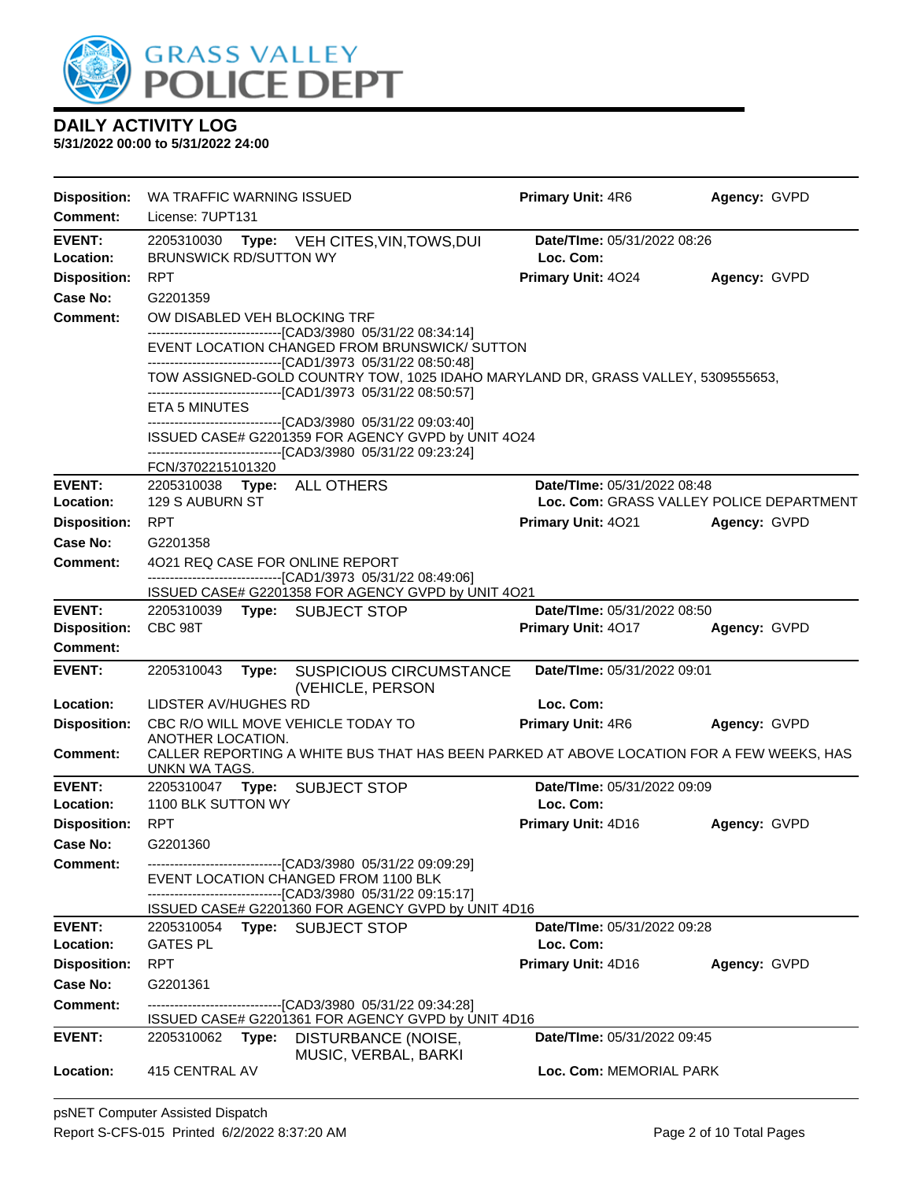

| <b>Disposition:</b>                  | WA TRAFFIC WARNING ISSUED                                                                                                                                                                                                                                          | Primary Unit: 4R6                                                       | Agency: GVPD |  |  |
|--------------------------------------|--------------------------------------------------------------------------------------------------------------------------------------------------------------------------------------------------------------------------------------------------------------------|-------------------------------------------------------------------------|--------------|--|--|
| <b>Comment:</b>                      | License: 7UPT131                                                                                                                                                                                                                                                   |                                                                         |              |  |  |
| <b>EVENT:</b><br>Location:           | 2205310030<br>Type: VEH CITES, VIN, TOWS, DUI<br><b>BRUNSWICK RD/SUTTON WY</b>                                                                                                                                                                                     | Date/TIme: 05/31/2022 08:26<br>Loc. Com:                                |              |  |  |
| <b>Disposition:</b>                  | <b>RPT</b>                                                                                                                                                                                                                                                         | Primary Unit: 4024                                                      | Agency: GVPD |  |  |
| Case No:                             | G2201359                                                                                                                                                                                                                                                           |                                                                         |              |  |  |
| <b>Comment:</b>                      | OW DISABLED VEH BLOCKING TRF                                                                                                                                                                                                                                       |                                                                         |              |  |  |
|                                      | --------------------------------[CAD3/3980 05/31/22 08:34:14]<br>EVENT LOCATION CHANGED FROM BRUNSWICK/ SUTTON<br>-------------------------------[CAD1/3973 05/31/22 08:50:48]<br>TOW ASSIGNED-GOLD COUNTRY TOW, 1025 IDAHO MARYLAND DR, GRASS VALLEY, 5309555653, |                                                                         |              |  |  |
|                                      | ------------------------------[CAD1/3973 05/31/22 08:50:57]<br>ETA 5 MINUTES                                                                                                                                                                                       |                                                                         |              |  |  |
|                                      | --------------------------[CAD3/3980_05/31/22_09:03:40]                                                                                                                                                                                                            |                                                                         |              |  |  |
|                                      | ISSUED CASE# G2201359 FOR AGENCY GVPD by UNIT 4O24<br>-------------------------------[CAD3/3980 05/31/22 09:23:24]                                                                                                                                                 |                                                                         |              |  |  |
|                                      | FCN/3702215101320                                                                                                                                                                                                                                                  |                                                                         |              |  |  |
| <b>EVENT:</b><br>Location:           | 2205310038 Type: ALL OTHERS<br>129 S AUBURN ST                                                                                                                                                                                                                     | Date/TIme: 05/31/2022 08:48<br>Loc. Com: GRASS VALLEY POLICE DEPARTMENT |              |  |  |
| <b>Disposition:</b>                  | <b>RPT</b>                                                                                                                                                                                                                                                         | <b>Primary Unit: 4021</b>                                               | Agency: GVPD |  |  |
| Case No:                             | G2201358                                                                                                                                                                                                                                                           |                                                                         |              |  |  |
| <b>Comment:</b>                      | 4021 REQ CASE FOR ONLINE REPORT<br>--------------------------------[CAD1/3973 05/31/22 08:49:06]                                                                                                                                                                   |                                                                         |              |  |  |
|                                      | ISSUED CASE# G2201358 FOR AGENCY GVPD by UNIT 4O21                                                                                                                                                                                                                 |                                                                         |              |  |  |
| <b>EVENT:</b><br><b>Disposition:</b> | 2205310039 Type: SUBJECT STOP<br>CBC 98T                                                                                                                                                                                                                           | Date/TIme: 05/31/2022 08:50<br>Primary Unit: 4017                       | Agency: GVPD |  |  |
| Comment:                             |                                                                                                                                                                                                                                                                    |                                                                         |              |  |  |
| <b>EVENT:</b>                        | 2205310043<br><b>SUSPICIOUS CIRCUMSTANCE</b><br>Type:<br>(VEHICLE, PERSON                                                                                                                                                                                          | Date/TIme: 05/31/2022 09:01                                             |              |  |  |
| Location:                            | LIDSTER AV/HUGHES RD                                                                                                                                                                                                                                               | Loc. Com:                                                               |              |  |  |
| <b>Disposition:</b>                  | CBC R/O WILL MOVE VEHICLE TODAY TO<br>ANOTHER LOCATION.                                                                                                                                                                                                            | <b>Primary Unit: 4R6</b>                                                | Agency: GVPD |  |  |
| <b>Comment:</b>                      | CALLER REPORTING A WHITE BUS THAT HAS BEEN PARKED AT ABOVE LOCATION FOR A FEW WEEKS, HAS<br>UNKN WA TAGS.                                                                                                                                                          |                                                                         |              |  |  |
| EVENT:<br>Location:                  | 2205310047<br><b>SUBJECT STOP</b><br>Type:<br>1100 BLK SUTTON WY                                                                                                                                                                                                   | Date/TIme: 05/31/2022 09:09<br>Loc. Com:                                |              |  |  |
| <b>Disposition:</b>                  | <b>RPT</b>                                                                                                                                                                                                                                                         | <b>Primary Unit: 4D16</b>                                               | Agency: GVPD |  |  |
| Case No:                             | G2201360                                                                                                                                                                                                                                                           |                                                                         |              |  |  |
| <b>Comment:</b>                      | ------------------------------[CAD3/3980 05/31/22 09:09:29]                                                                                                                                                                                                        |                                                                         |              |  |  |
|                                      | EVENT LOCATION CHANGED FROM 1100 BLK<br>--------------------------------[CAD3/3980 05/31/22 09:15:17]<br>ISSUED CASE# G2201360 FOR AGENCY GVPD by UNIT 4D16                                                                                                        |                                                                         |              |  |  |
| <b>EVENT:</b>                        | 2205310054<br>Type: SUBJECT STOP                                                                                                                                                                                                                                   | <b>Date/Time: 05/31/2022 09:28</b>                                      |              |  |  |
| Location:                            | <b>GATES PL</b>                                                                                                                                                                                                                                                    | Loc. Com:                                                               |              |  |  |
| <b>Disposition:</b>                  | <b>RPT</b>                                                                                                                                                                                                                                                         | Primary Unit: 4D16                                                      | Agency: GVPD |  |  |
| Case No:                             | G2201361                                                                                                                                                                                                                                                           |                                                                         |              |  |  |
| <b>Comment:</b>                      | --------------------------------[CAD3/3980 05/31/22 09:34:28]<br>ISSUED CASE# G2201361 FOR AGENCY GVPD by UNIT 4D16                                                                                                                                                |                                                                         |              |  |  |
| <b>EVENT:</b>                        | DISTURBANCE (NOISE,<br>2205310062<br>Type:                                                                                                                                                                                                                         | Date/TIme: 05/31/2022 09:45                                             |              |  |  |
| Location:                            | MUSIC, VERBAL, BARKI<br>415 CENTRAL AV                                                                                                                                                                                                                             | Loc. Com: MEMORIAL PARK                                                 |              |  |  |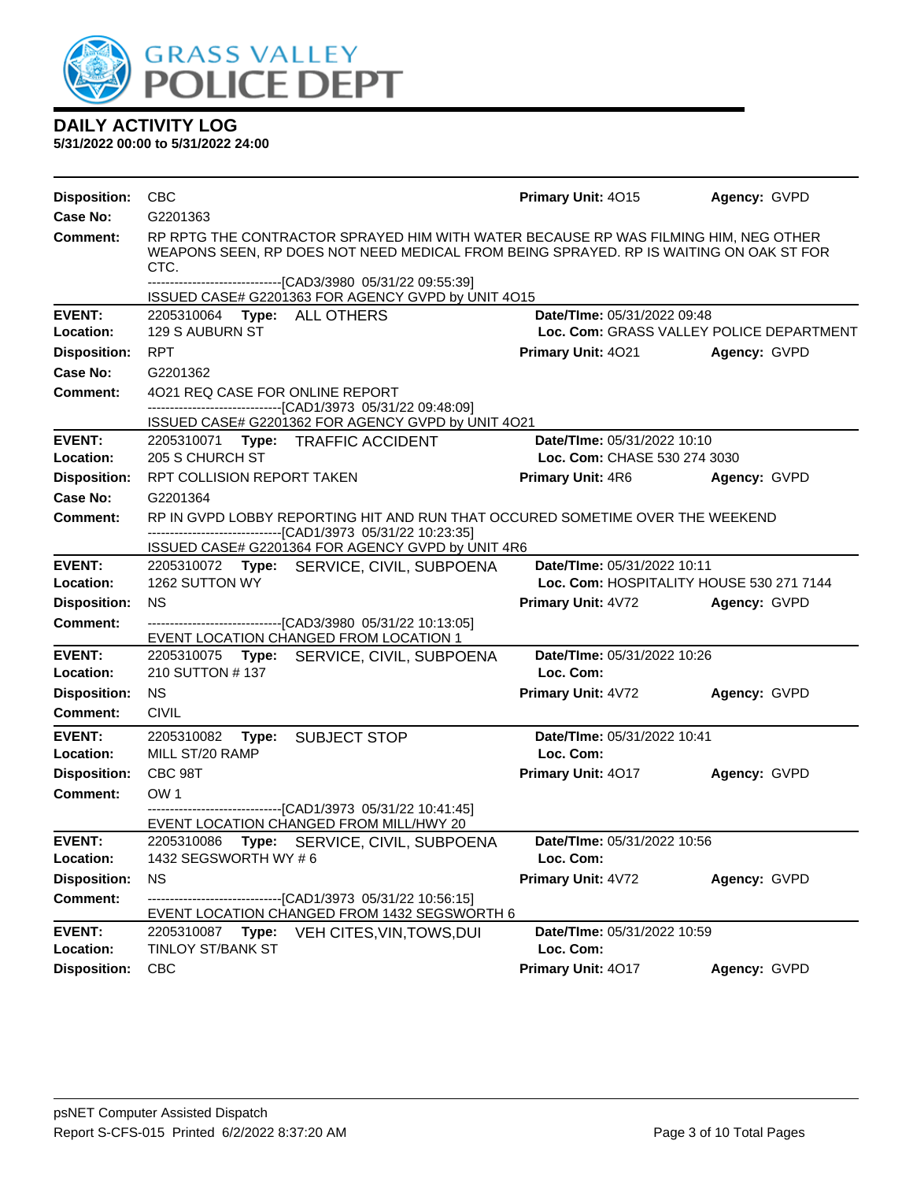

| <b>Disposition:</b>        | <b>CBC</b>                                                                                                                                                                                          | <b>Primary Unit: 4015</b>                                               | Agency: GVPD |
|----------------------------|-----------------------------------------------------------------------------------------------------------------------------------------------------------------------------------------------------|-------------------------------------------------------------------------|--------------|
| Case No:                   | G2201363                                                                                                                                                                                            |                                                                         |              |
| <b>Comment:</b>            | RP RPTG THE CONTRACTOR SPRAYED HIM WITH WATER BECAUSE RP WAS FILMING HIM, NEG OTHER<br>WEAPONS SEEN, RP DOES NOT NEED MEDICAL FROM BEING SPRAYED. RP IS WAITING ON OAK ST FOR<br>CTC.               |                                                                         |              |
|                            | ---------------------------------[CAD3/3980_05/31/22_09:55:39]<br>ISSUED CASE# G2201363 FOR AGENCY GVPD by UNIT 4O15                                                                                |                                                                         |              |
| <b>EVENT:</b><br>Location: | 2205310064 Type: ALL OTHERS<br>129 S AUBURN ST                                                                                                                                                      | Date/TIme: 05/31/2022 09:48<br>Loc. Com: GRASS VALLEY POLICE DEPARTMENT |              |
| <b>Disposition:</b>        | <b>RPT</b>                                                                                                                                                                                          | <b>Primary Unit: 4021</b>                                               | Agency: GVPD |
| Case No:                   | G2201362                                                                                                                                                                                            |                                                                         |              |
| <b>Comment:</b>            | 4021 REQ CASE FOR ONLINE REPORT<br>-------------------------------[CAD1/3973 05/31/22 09:48:09]<br>ISSUED CASE# G2201362 FOR AGENCY GVPD by UNIT 4O21                                               |                                                                         |              |
| <b>EVENT:</b>              | 2205310071 Type: TRAFFIC ACCIDENT                                                                                                                                                                   | Date/TIme: 05/31/2022 10:10                                             |              |
| Location:                  | 205 S CHURCH ST                                                                                                                                                                                     | Loc. Com: CHASE 530 274 3030                                            |              |
| <b>Disposition:</b>        | RPT COLLISION REPORT TAKEN                                                                                                                                                                          | <b>Primary Unit: 4R6</b>                                                | Agency: GVPD |
| Case No:                   | G2201364                                                                                                                                                                                            |                                                                         |              |
| Comment:                   | RP IN GVPD LOBBY REPORTING HIT AND RUN THAT OCCURED SOMETIME OVER THE WEEKEND<br>--------------------------------[CAD1/3973 05/31/22 10:23:35]<br>ISSUED CASE# G2201364 FOR AGENCY GVPD by UNIT 4R6 |                                                                         |              |
| <b>EVENT:</b>              | 2205310072 Type: SERVICE, CIVIL, SUBPOENA                                                                                                                                                           | Date/TIme: 05/31/2022 10:11                                             |              |
| Location:                  | 1262 SUTTON WY                                                                                                                                                                                      | Loc. Com: HOSPITALITY HOUSE 530 271 7144                                |              |
| <b>Disposition:</b>        | <b>NS</b>                                                                                                                                                                                           | Primary Unit: 4V72                                                      | Agency: GVPD |
| Comment:                   | ------------------------------[CAD3/3980 05/31/22 10:13:05]<br>EVENT LOCATION CHANGED FROM LOCATION 1                                                                                               |                                                                         |              |
| <b>EVENT:</b><br>Location: | 2205310075 Type: SERVICE, CIVIL, SUBPOENA<br>210 SUTTON #137                                                                                                                                        | Date/TIme: 05/31/2022 10:26<br>Loc. Com:                                |              |
| <b>Disposition:</b>        | <b>NS</b>                                                                                                                                                                                           | Primary Unit: 4V72                                                      | Agency: GVPD |
| <b>Comment:</b>            | <b>CIVIL</b>                                                                                                                                                                                        |                                                                         |              |
| <b>EVENT:</b>              | 2205310082<br>Type:<br><b>SUBJECT STOP</b>                                                                                                                                                          | Date/TIme: 05/31/2022 10:41                                             |              |
| Location:                  | MILL ST/20 RAMP                                                                                                                                                                                     | Loc. Com:                                                               |              |
| <b>Disposition:</b>        | CBC 98T                                                                                                                                                                                             | <b>Primary Unit: 4017</b>                                               | Agency: GVPD |
| Comment:                   | OW <sub>1</sub>                                                                                                                                                                                     |                                                                         |              |
|                            | -------------------------------[CAD1/3973_05/31/22 10:41:45]<br>EVENT LOCATION CHANGED FROM MILL/HWY 20                                                                                             |                                                                         |              |
| <b>EVENT:</b>              | 2205310086<br>Type: SERVICE, CIVIL, SUBPOENA                                                                                                                                                        | Date/TIme: 05/31/2022 10:56                                             |              |
| Location:                  | 1432 SEGSWORTH WY # 6                                                                                                                                                                               | Loc. Com:                                                               |              |
| <b>Disposition:</b>        | <b>NS</b>                                                                                                                                                                                           | Primary Unit: 4V72                                                      | Agency: GVPD |
| <b>Comment:</b>            | -----------------------[CAD1/3973_05/31/22_10:56:15]<br>EVENT LOCATION CHANGED FROM 1432 SEGSWORTH 6                                                                                                |                                                                         |              |
| <b>EVENT:</b><br>Location: | Type:<br>2205310087<br>VEH CITES, VIN, TOWS, DUI<br><b>TINLOY ST/BANK ST</b>                                                                                                                        | Date/TIme: 05/31/2022 10:59<br>Loc. Com:                                |              |
| <b>Disposition:</b>        | <b>CBC</b>                                                                                                                                                                                          | Primary Unit: 4017                                                      | Agency: GVPD |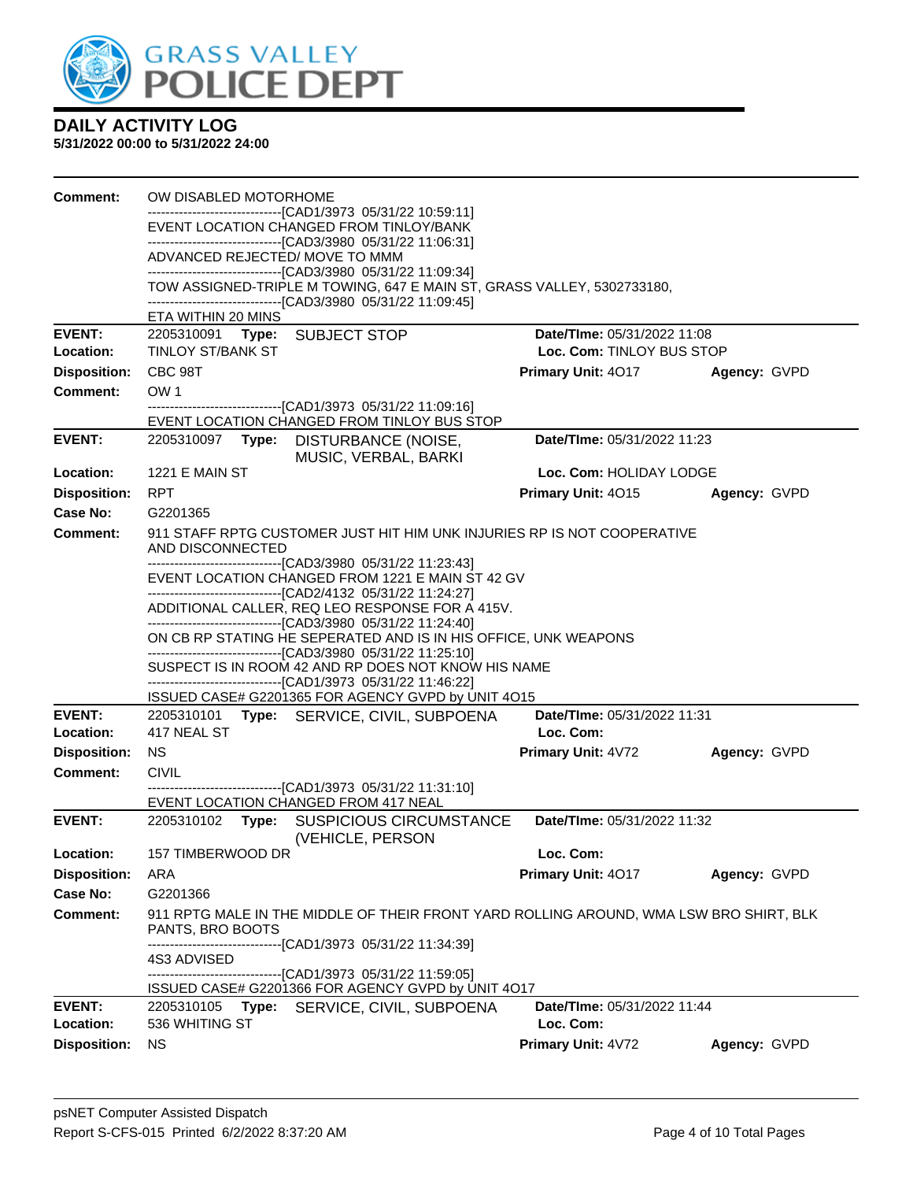

| <b>Comment:</b>            | OW DISABLED MOTORHOME                 |                                                                                                                                                                                    |                                                 |              |
|----------------------------|---------------------------------------|------------------------------------------------------------------------------------------------------------------------------------------------------------------------------------|-------------------------------------------------|--------------|
|                            |                                       | -------------------------------[CAD1/3973 05/31/22 10:59:11]<br>EVENT LOCATION CHANGED FROM TINLOY/BANK                                                                            |                                                 |              |
|                            | ADVANCED REJECTED/ MOVE TO MMM        | ------------------------------[CAD3/3980 05/31/22 11:06:31]                                                                                                                        |                                                 |              |
|                            |                                       | -------------------------------[CAD3/3980 05/31/22 11:09:34]                                                                                                                       |                                                 |              |
|                            |                                       | TOW ASSIGNED-TRIPLE M TOWING, 647 E MAIN ST, GRASS VALLEY, 5302733180,<br>--------------------------------[CAD3/3980 05/31/22 11:09:45]                                            |                                                 |              |
|                            | ETA WITHIN 20 MINS                    |                                                                                                                                                                                    |                                                 |              |
| <b>EVENT:</b>              | 2205310091 Type: SUBJECT STOP         |                                                                                                                                                                                    | Date/TIme: 05/31/2022 11:08                     |              |
| Location:                  | <b>TINLOY ST/BANK ST</b>              |                                                                                                                                                                                    | Loc. Com: TINLOY BUS STOP                       |              |
| <b>Disposition:</b>        | CBC 98T                               |                                                                                                                                                                                    | Primary Unit: 4017                              | Agency: GVPD |
| <b>Comment:</b>            | OW <sub>1</sub>                       | --------------------------------[CAD1/3973 05/31/22 11:09:16]                                                                                                                      |                                                 |              |
|                            |                                       | EVENT LOCATION CHANGED FROM TINLOY BUS STOP                                                                                                                                        |                                                 |              |
| <b>EVENT:</b>              | 2205310097                            | Type: DISTURBANCE (NOISE,<br>MUSIC, VERBAL, BARKI                                                                                                                                  | Date/TIme: 05/31/2022 11:23                     |              |
| Location:                  | <b>1221 E MAIN ST</b>                 |                                                                                                                                                                                    | Loc. Com: HOLIDAY LODGE                         |              |
| <b>Disposition:</b>        | <b>RPT</b>                            |                                                                                                                                                                                    | <b>Primary Unit: 4015</b>                       | Agency: GVPD |
| <b>Case No:</b>            | G2201365                              |                                                                                                                                                                                    |                                                 |              |
| <b>Comment:</b>            | AND DISCONNECTED                      | 911 STAFF RPTG CUSTOMER JUST HIT HIM UNK INJURIES RP IS NOT COOPERATIVE                                                                                                            |                                                 |              |
|                            |                                       | -------------------------------[CAD3/3980 05/31/22 11:23:43]<br>EVENT LOCATION CHANGED FROM 1221 E MAIN ST 42 GV<br>---------------------------------[CAD2/4132 05/31/22 11:24:27] |                                                 |              |
|                            |                                       | ADDITIONAL CALLER, REQ LEO RESPONSE FOR A 415V.<br>-------------------------------[CAD3/3980 05/31/22 11:24:40]                                                                    |                                                 |              |
|                            |                                       | ON CB RP STATING HE SEPERATED AND IS IN HIS OFFICE, UNK WEAPONS<br>--------------------------------[CAD3/3980 05/31/22 11:25:10]                                                   |                                                 |              |
|                            |                                       | SUSPECT IS IN ROOM 42 AND RP DOES NOT KNOW HIS NAME<br>-------------------------------[CAD1/3973 05/31/22 11:46:22]                                                                |                                                 |              |
|                            |                                       | ISSUED CASE# G2201365 FOR AGENCY GVPD by UNIT 4O15                                                                                                                                 |                                                 |              |
| <b>EVENT:</b><br>Location: | 417 NEAL ST                           | 2205310101 Type: SERVICE, CIVIL, SUBPOENA                                                                                                                                          | <b>Date/Time: 05/31/2022 11:31</b><br>Loc. Com: |              |
| <b>Disposition:</b>        | <b>NS</b>                             |                                                                                                                                                                                    | Primary Unit: 4V72                              | Agency: GVPD |
| <b>Comment:</b>            | <b>CIVIL</b>                          |                                                                                                                                                                                    |                                                 |              |
|                            |                                       | --------------------------------[CAD1/3973 05/31/22 11:31:10]<br>EVENT LOCATION CHANGED FROM 417 NEAL                                                                              |                                                 |              |
| <b>EVENT:</b>              |                                       | 2205310102 Type: SUSPICIOUS CIRCUMSTANCE<br>(VEHICLE, PERSON                                                                                                                       | Date/TIme: 05/31/2022 11:32                     |              |
| <b>Location:</b>           | 157 TIMBERWOOD DR                     |                                                                                                                                                                                    | Loc. Com:                                       |              |
| <b>Disposition:</b>        | ARA                                   |                                                                                                                                                                                    | Primary Unit: 4017                              | Agency: GVPD |
| <b>Case No:</b>            | G2201366                              |                                                                                                                                                                                    |                                                 |              |
| <b>Comment:</b>            | PANTS, BRO BOOTS                      | 911 RPTG MALE IN THE MIDDLE OF THEIR FRONT YARD ROLLING AROUND, WMA LSW BRO SHIRT, BLK                                                                                             |                                                 |              |
|                            | 4S3 ADVISED                           | -------------------------------[CAD1/3973 05/31/22 11:34:39]<br>--------------------------------[CAD1/3973 05/31/22 11:59:05]                                                      |                                                 |              |
|                            |                                       | ISSUED CASE# G2201366 FOR AGENCY GVPD by UNIT 4O17                                                                                                                                 |                                                 |              |
| <b>EVENT:</b><br>Location: | 2205310105<br>Type:<br>536 WHITING ST | SERVICE, CIVIL, SUBPOENA                                                                                                                                                           | Date/TIme: 05/31/2022 11:44<br>Loc. Com:        |              |
| <b>Disposition:</b>        | <b>NS</b>                             |                                                                                                                                                                                    | Primary Unit: 4V72                              | Agency: GVPD |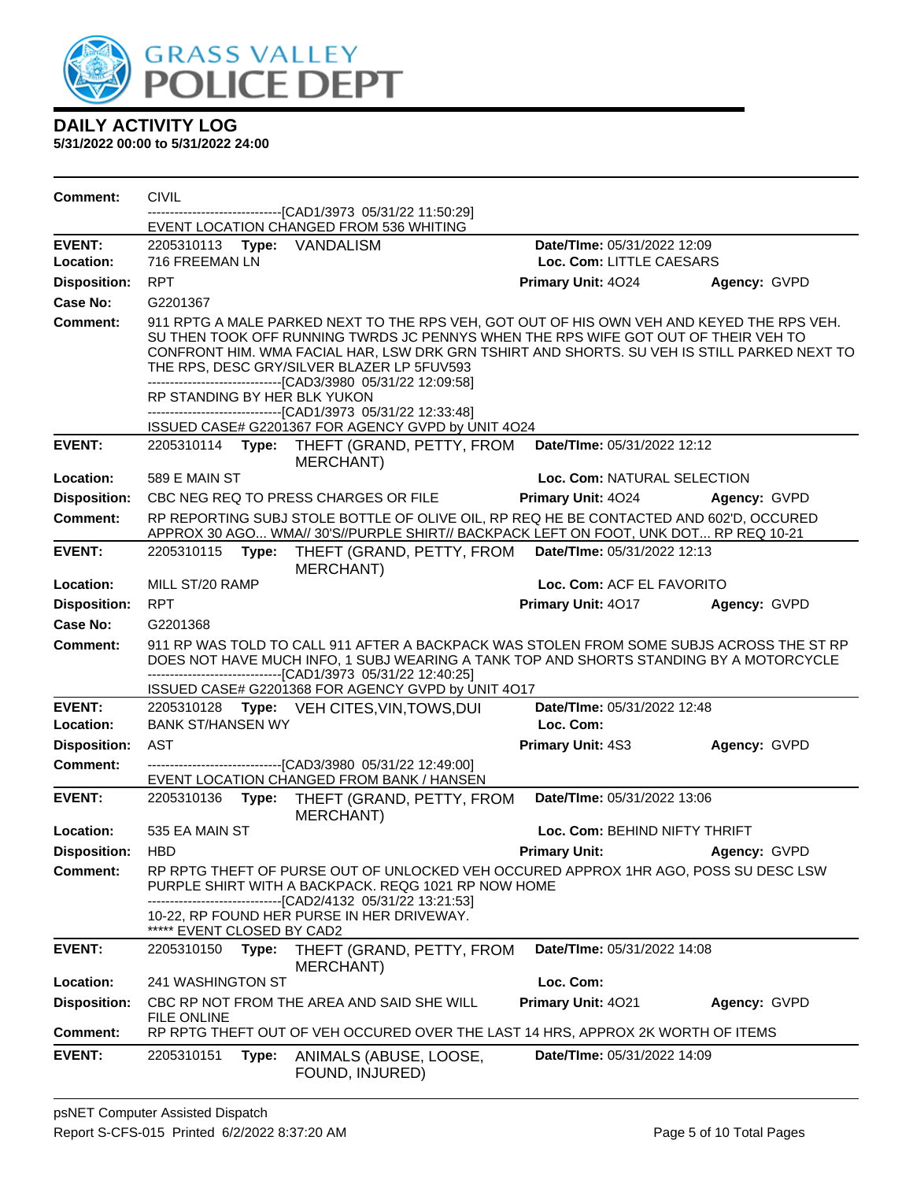

| Comment:            | <b>CIVIL</b>                 |       |                                                                                                                                                                                                                                                                                                                                                                                                                                                              |                                    |              |
|---------------------|------------------------------|-------|--------------------------------------------------------------------------------------------------------------------------------------------------------------------------------------------------------------------------------------------------------------------------------------------------------------------------------------------------------------------------------------------------------------------------------------------------------------|------------------------------------|--------------|
|                     |                              |       | ----------------[CAD1/3973_05/31/22 11:50:29]<br>EVENT LOCATION CHANGED FROM 536 WHITING                                                                                                                                                                                                                                                                                                                                                                     |                                    |              |
| <b>EVENT:</b>       | 2205310113 Type: VANDALISM   |       |                                                                                                                                                                                                                                                                                                                                                                                                                                                              | Date/TIme: 05/31/2022 12:09        |              |
| Location:           | 716 FREEMAN LN               |       |                                                                                                                                                                                                                                                                                                                                                                                                                                                              | Loc. Com: LITTLE CAESARS           |              |
| <b>Disposition:</b> | <b>RPT</b>                   |       |                                                                                                                                                                                                                                                                                                                                                                                                                                                              | Primary Unit: 4024                 | Agency: GVPD |
| Case No:            | G2201367                     |       |                                                                                                                                                                                                                                                                                                                                                                                                                                                              |                                    |              |
| Comment:            | RP STANDING BY HER BLK YUKON |       | 911 RPTG A MALE PARKED NEXT TO THE RPS VEH, GOT OUT OF HIS OWN VEH AND KEYED THE RPS VEH.<br>SU THEN TOOK OFF RUNNING TWRDS JC PENNYS WHEN THE RPS WIFE GOT OUT OF THEIR VEH TO<br>CONFRONT HIM. WMA FACIAL HAR, LSW DRK GRN TSHIRT AND SHORTS. SU VEH IS STILL PARKED NEXT TO<br>THE RPS, DESC GRY/SILVER BLAZER LP 5FUV593<br>-------------------------------[CAD3/3980_05/31/22 12:09:58]<br>-------------------------------[CAD1/3973 05/31/22 12:33:48] |                                    |              |
|                     |                              |       | ISSUED CASE# G2201367 FOR AGENCY GVPD by UNIT 4O24                                                                                                                                                                                                                                                                                                                                                                                                           |                                    |              |
| <b>EVENT:</b>       |                              |       | 2205310114 Type: THEFT (GRAND, PETTY, FROM<br>MERCHANT)                                                                                                                                                                                                                                                                                                                                                                                                      | Date/TIme: 05/31/2022 12:12        |              |
| Location:           | 589 E MAIN ST                |       |                                                                                                                                                                                                                                                                                                                                                                                                                                                              | Loc. Com: NATURAL SELECTION        |              |
| <b>Disposition:</b> |                              |       | CBC NEG REQ TO PRESS CHARGES OR FILE                                                                                                                                                                                                                                                                                                                                                                                                                         | <b>Primary Unit: 4024</b>          | Agency: GVPD |
| <b>Comment:</b>     |                              |       | RP REPORTING SUBJ STOLE BOTTLE OF OLIVE OIL, RP REQ HE BE CONTACTED AND 602'D, OCCURED<br>APPROX 30 AGO WMA// 30'S//PURPLE SHIRT// BACKPACK LEFT ON FOOT, UNK DOT RP REQ 10-21                                                                                                                                                                                                                                                                               |                                    |              |
| <b>EVENT:</b>       | 2205310115 Type:             |       | THEFT (GRAND, PETTY, FROM<br><b>MERCHANT)</b>                                                                                                                                                                                                                                                                                                                                                                                                                | Date/TIme: 05/31/2022 12:13        |              |
| Location:           | MILL ST/20 RAMP              |       |                                                                                                                                                                                                                                                                                                                                                                                                                                                              | Loc. Com: ACF EL FAVORITO          |              |
| <b>Disposition:</b> | <b>RPT</b>                   |       |                                                                                                                                                                                                                                                                                                                                                                                                                                                              | Primary Unit: 4017                 | Agency: GVPD |
| Case No:            | G2201368                     |       |                                                                                                                                                                                                                                                                                                                                                                                                                                                              |                                    |              |
| <b>Comment:</b>     |                              |       | 911 RP WAS TOLD TO CALL 911 AFTER A BACKPACK WAS STOLEN FROM SOME SUBJS ACROSS THE ST RP<br>DOES NOT HAVE MUCH INFO, 1 SUBJ WEARING A TANK TOP AND SHORTS STANDING BY A MOTORCYCLE<br>-------------------------------[CAD1/3973 05/31/22 12:40:25]<br>ISSUED CASE# G2201368 FOR AGENCY GVPD by UNIT 4O17                                                                                                                                                     |                                    |              |
| <b>EVENT:</b>       |                              |       | 2205310128 Type: VEH CITES, VIN, TOWS, DUI                                                                                                                                                                                                                                                                                                                                                                                                                   | Date/TIme: 05/31/2022 12:48        |              |
| Location:           | <b>BANK ST/HANSEN WY</b>     |       |                                                                                                                                                                                                                                                                                                                                                                                                                                                              | Loc. Com:                          |              |
| <b>Disposition:</b> | <b>AST</b>                   |       |                                                                                                                                                                                                                                                                                                                                                                                                                                                              | <b>Primary Unit: 4S3</b>           | Agency: GVPD |
| Comment:            |                              |       | EVENT LOCATION CHANGED FROM BANK / HANSEN                                                                                                                                                                                                                                                                                                                                                                                                                    |                                    |              |
| <b>EVENT:</b>       |                              |       | 2205310136 Type: THEFT (GRAND, PETTY, FROM<br><b>MERCHANT)</b>                                                                                                                                                                                                                                                                                                                                                                                               | Date/TIme: 05/31/2022 13:06        |              |
| Location:           | 535 EA MAIN ST               |       |                                                                                                                                                                                                                                                                                                                                                                                                                                                              | Loc. Com: BEHIND NIFTY THRIFT      |              |
| Disposition: HBD    |                              |       |                                                                                                                                                                                                                                                                                                                                                                                                                                                              | <b>Primary Unit:</b>               | Agency: GVPD |
| Comment:            |                              |       | RP RPTG THEFT OF PURSE OUT OF UNLOCKED VEH OCCURED APPROX 1HR AGO, POSS SU DESC LSW<br>PURPLE SHIRT WITH A BACKPACK. REQG 1021 RP NOW HOME<br>-----------[CAD2/4132 05/31/22 13:21:53]                                                                                                                                                                                                                                                                       |                                    |              |
|                     | ***** EVENT CLOSED BY CAD2   |       | 10-22, RP FOUND HER PURSE IN HER DRIVEWAY.                                                                                                                                                                                                                                                                                                                                                                                                                   |                                    |              |
| <b>EVENT:</b>       | 2205310150                   | Type: | THEFT (GRAND, PETTY, FROM<br><b>MERCHANT)</b>                                                                                                                                                                                                                                                                                                                                                                                                                | Date/TIme: 05/31/2022 14:08        |              |
| Location:           | <b>241 WASHINGTON ST</b>     |       |                                                                                                                                                                                                                                                                                                                                                                                                                                                              | Loc. Com:                          |              |
| <b>Disposition:</b> | FILE ONLINE                  |       | CBC RP NOT FROM THE AREA AND SAID SHE WILL                                                                                                                                                                                                                                                                                                                                                                                                                   | Primary Unit: 4021                 | Agency: GVPD |
| <b>Comment:</b>     |                              |       | RP RPTG THEFT OUT OF VEH OCCURED OVER THE LAST 14 HRS, APPROX 2K WORTH OF ITEMS                                                                                                                                                                                                                                                                                                                                                                              |                                    |              |
| <b>EVENT:</b>       | 2205310151                   | Type: | ANIMALS (ABUSE, LOOSE,<br>FOUND, INJURED)                                                                                                                                                                                                                                                                                                                                                                                                                    | <b>Date/Time: 05/31/2022 14:09</b> |              |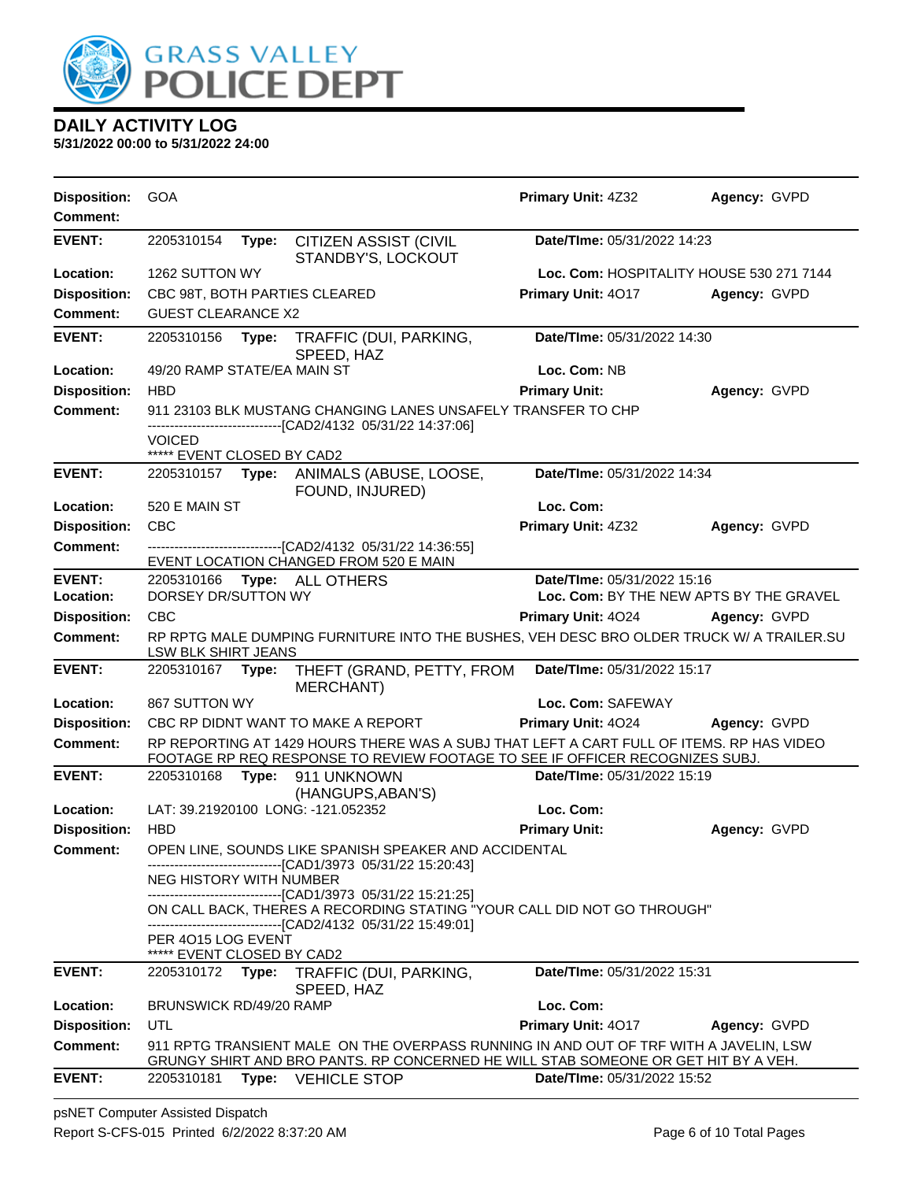

**5/31/2022 00:00 to 5/31/2022 24:00**

| <b>Comment:</b><br><b>EVENT:</b><br>2205310154<br>Date/TIme: 05/31/2022 14:23<br><b>CITIZEN ASSIST (CIVIL</b><br>Type:<br>STANDBY'S, LOCKOUT<br>Location:<br>1262 SUTTON WY<br>Loc. Com: HOSPITALITY HOUSE 530 271 7144<br><b>Disposition:</b><br>CBC 98T, BOTH PARTIES CLEARED<br>Primary Unit: 4017<br>Agency: GVPD<br><b>Comment:</b><br><b>GUEST CLEARANCE X2</b><br>Date/TIme: 05/31/2022 14:30<br><b>EVENT:</b><br>2205310156<br>Type:<br>TRAFFIC (DUI, PARKING,<br>SPEED, HAZ<br>49/20 RAMP STATE/EA MAIN ST<br>Location:<br>Loc. Com: NB<br><b>Disposition:</b><br><b>HBD</b><br><b>Primary Unit:</b><br>Agency: GVPD<br><b>Comment:</b><br>911 23103 BLK MUSTANG CHANGING LANES UNSAFELY TRANSFER TO CHP<br>------------------------------[CAD2/4132_05/31/22 14:37:06]<br><b>VOICED</b><br>***** EVENT CLOSED BY CAD2<br><b>EVENT:</b><br>Date/TIme: 05/31/2022 14:34<br>2205310157 Type: ANIMALS (ABUSE, LOOSE,<br>FOUND, INJURED)<br>520 E MAIN ST<br>Loc. Com:<br>Location:<br>CBC<br><b>Disposition:</b><br>Primary Unit: 4Z32<br>Agency: GVPD<br>---------------------------------[CAD2/4132 05/31/22 14:36:55]<br><b>Comment:</b><br>EVENT LOCATION CHANGED FROM 520 E MAIN<br><b>EVENT:</b><br>Date/TIme: 05/31/2022 15:16<br>2205310166 Type: ALL OTHERS<br>DORSEY DR/SUTTON WY<br>Loc. Com: BY THE NEW APTS BY THE GRAVEL<br>Location:<br><b>Disposition:</b><br><b>CBC</b><br>Primary Unit: 4024<br>Agency: GVPD<br><b>Comment:</b><br>RP RPTG MALE DUMPING FURNITURE INTO THE BUSHES, VEH DESC BRO OLDER TRUCK W/ A TRAILER.SU<br>LSW BLK SHIRT JEANS<br><b>EVENT:</b><br>Date/TIme: 05/31/2022 15:17<br>2205310167 Type:<br>THEFT (GRAND, PETTY, FROM<br><b>MERCHANT)</b><br>867 SUTTON WY<br>Location:<br>Loc. Com: SAFEWAY<br><b>Disposition:</b><br>CBC RP DIDNT WANT TO MAKE A REPORT<br>Primary Unit: 4024<br>Agency: GVPD<br>RP REPORTING AT 1429 HOURS THERE WAS A SUBJ THAT LEFT A CART FULL OF ITEMS. RP HAS VIDEO<br><b>Comment:</b><br>FOOTAGE RP REQ RESPONSE TO REVIEW FOOTAGE TO SEE IF OFFICER RECOGNIZES SUBJ.<br><b>EVENT:</b><br>Date/TIme: 05/31/2022 15:19<br>2205310168<br>Type: 911 UNKNOWN<br>(HANGUPS, ABAN'S)<br>LAT: 39.21920100 LONG: -121.052352<br>Loc. Com:<br>Location:<br><b>Disposition:</b><br><b>HBD</b><br><b>Primary Unit:</b><br>Agency: GVPD<br>OPEN LINE, SOUNDS LIKE SPANISH SPEAKER AND ACCIDENTAL<br><b>Comment:</b><br>--------------------------------[CAD1/3973 05/31/22 15:20:43]<br>NEG HISTORY WITH NUMBER<br>-------------------------------[CAD1/3973 05/31/22 15:21:25]<br>ON CALL BACK, THERES A RECORDING STATING "YOUR CALL DID NOT GO THROUGH"<br>------------------------------[CAD2/4132 05/31/22 15:49:01]<br>PER 4015 LOG EVENT<br>***** EVENT CLOSED BY CAD2<br><b>EVENT:</b><br>Date/TIme: 05/31/2022 15:31<br>2205310172 Type:<br>TRAFFIC (DUI, PARKING,<br>SPEED, HAZ<br>Location:<br>Loc. Com:<br>BRUNSWICK RD/49/20 RAMP<br><b>Disposition:</b><br>UTL<br>Primary Unit: 4017<br>Agency: GVPD<br><b>Comment:</b><br>911 RPTG TRANSIENT MALE ON THE OVERPASS RUNNING IN AND OUT OF TRF WITH A JAVELIN, LSW<br>GRUNGY SHIRT AND BRO PANTS. RP CONCERNED HE WILL STAB SOMEONE OR GET HIT BY A VEH.<br><b>EVENT:</b><br>Date/TIme: 05/31/2022 15:52<br>2205310181 Type: VEHICLE STOP | <b>Disposition:</b> | <b>GOA</b> |  | Primary Unit: 4Z32 | Agency: GVPD |
|-------------------------------------------------------------------------------------------------------------------------------------------------------------------------------------------------------------------------------------------------------------------------------------------------------------------------------------------------------------------------------------------------------------------------------------------------------------------------------------------------------------------------------------------------------------------------------------------------------------------------------------------------------------------------------------------------------------------------------------------------------------------------------------------------------------------------------------------------------------------------------------------------------------------------------------------------------------------------------------------------------------------------------------------------------------------------------------------------------------------------------------------------------------------------------------------------------------------------------------------------------------------------------------------------------------------------------------------------------------------------------------------------------------------------------------------------------------------------------------------------------------------------------------------------------------------------------------------------------------------------------------------------------------------------------------------------------------------------------------------------------------------------------------------------------------------------------------------------------------------------------------------------------------------------------------------------------------------------------------------------------------------------------------------------------------------------------------------------------------------------------------------------------------------------------------------------------------------------------------------------------------------------------------------------------------------------------------------------------------------------------------------------------------------------------------------------------------------------------------------------------------------------------------------------------------------------------------------------------------------------------------------------------------------------------------------------------------------------------------------------------------------------------------------------------------------------------------------------------------------------------------------------------------------------------------------------------------------------------------------------------------------------------------------------------------------------------------------------------------------------------------------------------------------------------------------------------------------------------------------------------------------------|---------------------|------------|--|--------------------|--------------|
|                                                                                                                                                                                                                                                                                                                                                                                                                                                                                                                                                                                                                                                                                                                                                                                                                                                                                                                                                                                                                                                                                                                                                                                                                                                                                                                                                                                                                                                                                                                                                                                                                                                                                                                                                                                                                                                                                                                                                                                                                                                                                                                                                                                                                                                                                                                                                                                                                                                                                                                                                                                                                                                                                                                                                                                                                                                                                                                                                                                                                                                                                                                                                                                                                                                                         |                     |            |  |                    |              |
|                                                                                                                                                                                                                                                                                                                                                                                                                                                                                                                                                                                                                                                                                                                                                                                                                                                                                                                                                                                                                                                                                                                                                                                                                                                                                                                                                                                                                                                                                                                                                                                                                                                                                                                                                                                                                                                                                                                                                                                                                                                                                                                                                                                                                                                                                                                                                                                                                                                                                                                                                                                                                                                                                                                                                                                                                                                                                                                                                                                                                                                                                                                                                                                                                                                                         |                     |            |  |                    |              |
|                                                                                                                                                                                                                                                                                                                                                                                                                                                                                                                                                                                                                                                                                                                                                                                                                                                                                                                                                                                                                                                                                                                                                                                                                                                                                                                                                                                                                                                                                                                                                                                                                                                                                                                                                                                                                                                                                                                                                                                                                                                                                                                                                                                                                                                                                                                                                                                                                                                                                                                                                                                                                                                                                                                                                                                                                                                                                                                                                                                                                                                                                                                                                                                                                                                                         |                     |            |  |                    |              |
|                                                                                                                                                                                                                                                                                                                                                                                                                                                                                                                                                                                                                                                                                                                                                                                                                                                                                                                                                                                                                                                                                                                                                                                                                                                                                                                                                                                                                                                                                                                                                                                                                                                                                                                                                                                                                                                                                                                                                                                                                                                                                                                                                                                                                                                                                                                                                                                                                                                                                                                                                                                                                                                                                                                                                                                                                                                                                                                                                                                                                                                                                                                                                                                                                                                                         |                     |            |  |                    |              |
|                                                                                                                                                                                                                                                                                                                                                                                                                                                                                                                                                                                                                                                                                                                                                                                                                                                                                                                                                                                                                                                                                                                                                                                                                                                                                                                                                                                                                                                                                                                                                                                                                                                                                                                                                                                                                                                                                                                                                                                                                                                                                                                                                                                                                                                                                                                                                                                                                                                                                                                                                                                                                                                                                                                                                                                                                                                                                                                                                                                                                                                                                                                                                                                                                                                                         |                     |            |  |                    |              |
|                                                                                                                                                                                                                                                                                                                                                                                                                                                                                                                                                                                                                                                                                                                                                                                                                                                                                                                                                                                                                                                                                                                                                                                                                                                                                                                                                                                                                                                                                                                                                                                                                                                                                                                                                                                                                                                                                                                                                                                                                                                                                                                                                                                                                                                                                                                                                                                                                                                                                                                                                                                                                                                                                                                                                                                                                                                                                                                                                                                                                                                                                                                                                                                                                                                                         |                     |            |  |                    |              |
|                                                                                                                                                                                                                                                                                                                                                                                                                                                                                                                                                                                                                                                                                                                                                                                                                                                                                                                                                                                                                                                                                                                                                                                                                                                                                                                                                                                                                                                                                                                                                                                                                                                                                                                                                                                                                                                                                                                                                                                                                                                                                                                                                                                                                                                                                                                                                                                                                                                                                                                                                                                                                                                                                                                                                                                                                                                                                                                                                                                                                                                                                                                                                                                                                                                                         |                     |            |  |                    |              |
|                                                                                                                                                                                                                                                                                                                                                                                                                                                                                                                                                                                                                                                                                                                                                                                                                                                                                                                                                                                                                                                                                                                                                                                                                                                                                                                                                                                                                                                                                                                                                                                                                                                                                                                                                                                                                                                                                                                                                                                                                                                                                                                                                                                                                                                                                                                                                                                                                                                                                                                                                                                                                                                                                                                                                                                                                                                                                                                                                                                                                                                                                                                                                                                                                                                                         |                     |            |  |                    |              |
|                                                                                                                                                                                                                                                                                                                                                                                                                                                                                                                                                                                                                                                                                                                                                                                                                                                                                                                                                                                                                                                                                                                                                                                                                                                                                                                                                                                                                                                                                                                                                                                                                                                                                                                                                                                                                                                                                                                                                                                                                                                                                                                                                                                                                                                                                                                                                                                                                                                                                                                                                                                                                                                                                                                                                                                                                                                                                                                                                                                                                                                                                                                                                                                                                                                                         |                     |            |  |                    |              |
|                                                                                                                                                                                                                                                                                                                                                                                                                                                                                                                                                                                                                                                                                                                                                                                                                                                                                                                                                                                                                                                                                                                                                                                                                                                                                                                                                                                                                                                                                                                                                                                                                                                                                                                                                                                                                                                                                                                                                                                                                                                                                                                                                                                                                                                                                                                                                                                                                                                                                                                                                                                                                                                                                                                                                                                                                                                                                                                                                                                                                                                                                                                                                                                                                                                                         |                     |            |  |                    |              |
|                                                                                                                                                                                                                                                                                                                                                                                                                                                                                                                                                                                                                                                                                                                                                                                                                                                                                                                                                                                                                                                                                                                                                                                                                                                                                                                                                                                                                                                                                                                                                                                                                                                                                                                                                                                                                                                                                                                                                                                                                                                                                                                                                                                                                                                                                                                                                                                                                                                                                                                                                                                                                                                                                                                                                                                                                                                                                                                                                                                                                                                                                                                                                                                                                                                                         |                     |            |  |                    |              |
|                                                                                                                                                                                                                                                                                                                                                                                                                                                                                                                                                                                                                                                                                                                                                                                                                                                                                                                                                                                                                                                                                                                                                                                                                                                                                                                                                                                                                                                                                                                                                                                                                                                                                                                                                                                                                                                                                                                                                                                                                                                                                                                                                                                                                                                                                                                                                                                                                                                                                                                                                                                                                                                                                                                                                                                                                                                                                                                                                                                                                                                                                                                                                                                                                                                                         |                     |            |  |                    |              |
|                                                                                                                                                                                                                                                                                                                                                                                                                                                                                                                                                                                                                                                                                                                                                                                                                                                                                                                                                                                                                                                                                                                                                                                                                                                                                                                                                                                                                                                                                                                                                                                                                                                                                                                                                                                                                                                                                                                                                                                                                                                                                                                                                                                                                                                                                                                                                                                                                                                                                                                                                                                                                                                                                                                                                                                                                                                                                                                                                                                                                                                                                                                                                                                                                                                                         |                     |            |  |                    |              |
|                                                                                                                                                                                                                                                                                                                                                                                                                                                                                                                                                                                                                                                                                                                                                                                                                                                                                                                                                                                                                                                                                                                                                                                                                                                                                                                                                                                                                                                                                                                                                                                                                                                                                                                                                                                                                                                                                                                                                                                                                                                                                                                                                                                                                                                                                                                                                                                                                                                                                                                                                                                                                                                                                                                                                                                                                                                                                                                                                                                                                                                                                                                                                                                                                                                                         |                     |            |  |                    |              |
|                                                                                                                                                                                                                                                                                                                                                                                                                                                                                                                                                                                                                                                                                                                                                                                                                                                                                                                                                                                                                                                                                                                                                                                                                                                                                                                                                                                                                                                                                                                                                                                                                                                                                                                                                                                                                                                                                                                                                                                                                                                                                                                                                                                                                                                                                                                                                                                                                                                                                                                                                                                                                                                                                                                                                                                                                                                                                                                                                                                                                                                                                                                                                                                                                                                                         |                     |            |  |                    |              |
|                                                                                                                                                                                                                                                                                                                                                                                                                                                                                                                                                                                                                                                                                                                                                                                                                                                                                                                                                                                                                                                                                                                                                                                                                                                                                                                                                                                                                                                                                                                                                                                                                                                                                                                                                                                                                                                                                                                                                                                                                                                                                                                                                                                                                                                                                                                                                                                                                                                                                                                                                                                                                                                                                                                                                                                                                                                                                                                                                                                                                                                                                                                                                                                                                                                                         |                     |            |  |                    |              |
|                                                                                                                                                                                                                                                                                                                                                                                                                                                                                                                                                                                                                                                                                                                                                                                                                                                                                                                                                                                                                                                                                                                                                                                                                                                                                                                                                                                                                                                                                                                                                                                                                                                                                                                                                                                                                                                                                                                                                                                                                                                                                                                                                                                                                                                                                                                                                                                                                                                                                                                                                                                                                                                                                                                                                                                                                                                                                                                                                                                                                                                                                                                                                                                                                                                                         |                     |            |  |                    |              |
|                                                                                                                                                                                                                                                                                                                                                                                                                                                                                                                                                                                                                                                                                                                                                                                                                                                                                                                                                                                                                                                                                                                                                                                                                                                                                                                                                                                                                                                                                                                                                                                                                                                                                                                                                                                                                                                                                                                                                                                                                                                                                                                                                                                                                                                                                                                                                                                                                                                                                                                                                                                                                                                                                                                                                                                                                                                                                                                                                                                                                                                                                                                                                                                                                                                                         |                     |            |  |                    |              |
|                                                                                                                                                                                                                                                                                                                                                                                                                                                                                                                                                                                                                                                                                                                                                                                                                                                                                                                                                                                                                                                                                                                                                                                                                                                                                                                                                                                                                                                                                                                                                                                                                                                                                                                                                                                                                                                                                                                                                                                                                                                                                                                                                                                                                                                                                                                                                                                                                                                                                                                                                                                                                                                                                                                                                                                                                                                                                                                                                                                                                                                                                                                                                                                                                                                                         |                     |            |  |                    |              |
|                                                                                                                                                                                                                                                                                                                                                                                                                                                                                                                                                                                                                                                                                                                                                                                                                                                                                                                                                                                                                                                                                                                                                                                                                                                                                                                                                                                                                                                                                                                                                                                                                                                                                                                                                                                                                                                                                                                                                                                                                                                                                                                                                                                                                                                                                                                                                                                                                                                                                                                                                                                                                                                                                                                                                                                                                                                                                                                                                                                                                                                                                                                                                                                                                                                                         |                     |            |  |                    |              |
|                                                                                                                                                                                                                                                                                                                                                                                                                                                                                                                                                                                                                                                                                                                                                                                                                                                                                                                                                                                                                                                                                                                                                                                                                                                                                                                                                                                                                                                                                                                                                                                                                                                                                                                                                                                                                                                                                                                                                                                                                                                                                                                                                                                                                                                                                                                                                                                                                                                                                                                                                                                                                                                                                                                                                                                                                                                                                                                                                                                                                                                                                                                                                                                                                                                                         |                     |            |  |                    |              |
|                                                                                                                                                                                                                                                                                                                                                                                                                                                                                                                                                                                                                                                                                                                                                                                                                                                                                                                                                                                                                                                                                                                                                                                                                                                                                                                                                                                                                                                                                                                                                                                                                                                                                                                                                                                                                                                                                                                                                                                                                                                                                                                                                                                                                                                                                                                                                                                                                                                                                                                                                                                                                                                                                                                                                                                                                                                                                                                                                                                                                                                                                                                                                                                                                                                                         |                     |            |  |                    |              |
|                                                                                                                                                                                                                                                                                                                                                                                                                                                                                                                                                                                                                                                                                                                                                                                                                                                                                                                                                                                                                                                                                                                                                                                                                                                                                                                                                                                                                                                                                                                                                                                                                                                                                                                                                                                                                                                                                                                                                                                                                                                                                                                                                                                                                                                                                                                                                                                                                                                                                                                                                                                                                                                                                                                                                                                                                                                                                                                                                                                                                                                                                                                                                                                                                                                                         |                     |            |  |                    |              |
|                                                                                                                                                                                                                                                                                                                                                                                                                                                                                                                                                                                                                                                                                                                                                                                                                                                                                                                                                                                                                                                                                                                                                                                                                                                                                                                                                                                                                                                                                                                                                                                                                                                                                                                                                                                                                                                                                                                                                                                                                                                                                                                                                                                                                                                                                                                                                                                                                                                                                                                                                                                                                                                                                                                                                                                                                                                                                                                                                                                                                                                                                                                                                                                                                                                                         |                     |            |  |                    |              |
|                                                                                                                                                                                                                                                                                                                                                                                                                                                                                                                                                                                                                                                                                                                                                                                                                                                                                                                                                                                                                                                                                                                                                                                                                                                                                                                                                                                                                                                                                                                                                                                                                                                                                                                                                                                                                                                                                                                                                                                                                                                                                                                                                                                                                                                                                                                                                                                                                                                                                                                                                                                                                                                                                                                                                                                                                                                                                                                                                                                                                                                                                                                                                                                                                                                                         |                     |            |  |                    |              |
|                                                                                                                                                                                                                                                                                                                                                                                                                                                                                                                                                                                                                                                                                                                                                                                                                                                                                                                                                                                                                                                                                                                                                                                                                                                                                                                                                                                                                                                                                                                                                                                                                                                                                                                                                                                                                                                                                                                                                                                                                                                                                                                                                                                                                                                                                                                                                                                                                                                                                                                                                                                                                                                                                                                                                                                                                                                                                                                                                                                                                                                                                                                                                                                                                                                                         |                     |            |  |                    |              |
|                                                                                                                                                                                                                                                                                                                                                                                                                                                                                                                                                                                                                                                                                                                                                                                                                                                                                                                                                                                                                                                                                                                                                                                                                                                                                                                                                                                                                                                                                                                                                                                                                                                                                                                                                                                                                                                                                                                                                                                                                                                                                                                                                                                                                                                                                                                                                                                                                                                                                                                                                                                                                                                                                                                                                                                                                                                                                                                                                                                                                                                                                                                                                                                                                                                                         |                     |            |  |                    |              |
|                                                                                                                                                                                                                                                                                                                                                                                                                                                                                                                                                                                                                                                                                                                                                                                                                                                                                                                                                                                                                                                                                                                                                                                                                                                                                                                                                                                                                                                                                                                                                                                                                                                                                                                                                                                                                                                                                                                                                                                                                                                                                                                                                                                                                                                                                                                                                                                                                                                                                                                                                                                                                                                                                                                                                                                                                                                                                                                                                                                                                                                                                                                                                                                                                                                                         |                     |            |  |                    |              |
|                                                                                                                                                                                                                                                                                                                                                                                                                                                                                                                                                                                                                                                                                                                                                                                                                                                                                                                                                                                                                                                                                                                                                                                                                                                                                                                                                                                                                                                                                                                                                                                                                                                                                                                                                                                                                                                                                                                                                                                                                                                                                                                                                                                                                                                                                                                                                                                                                                                                                                                                                                                                                                                                                                                                                                                                                                                                                                                                                                                                                                                                                                                                                                                                                                                                         |                     |            |  |                    |              |
|                                                                                                                                                                                                                                                                                                                                                                                                                                                                                                                                                                                                                                                                                                                                                                                                                                                                                                                                                                                                                                                                                                                                                                                                                                                                                                                                                                                                                                                                                                                                                                                                                                                                                                                                                                                                                                                                                                                                                                                                                                                                                                                                                                                                                                                                                                                                                                                                                                                                                                                                                                                                                                                                                                                                                                                                                                                                                                                                                                                                                                                                                                                                                                                                                                                                         |                     |            |  |                    |              |
|                                                                                                                                                                                                                                                                                                                                                                                                                                                                                                                                                                                                                                                                                                                                                                                                                                                                                                                                                                                                                                                                                                                                                                                                                                                                                                                                                                                                                                                                                                                                                                                                                                                                                                                                                                                                                                                                                                                                                                                                                                                                                                                                                                                                                                                                                                                                                                                                                                                                                                                                                                                                                                                                                                                                                                                                                                                                                                                                                                                                                                                                                                                                                                                                                                                                         |                     |            |  |                    |              |
|                                                                                                                                                                                                                                                                                                                                                                                                                                                                                                                                                                                                                                                                                                                                                                                                                                                                                                                                                                                                                                                                                                                                                                                                                                                                                                                                                                                                                                                                                                                                                                                                                                                                                                                                                                                                                                                                                                                                                                                                                                                                                                                                                                                                                                                                                                                                                                                                                                                                                                                                                                                                                                                                                                                                                                                                                                                                                                                                                                                                                                                                                                                                                                                                                                                                         |                     |            |  |                    |              |
|                                                                                                                                                                                                                                                                                                                                                                                                                                                                                                                                                                                                                                                                                                                                                                                                                                                                                                                                                                                                                                                                                                                                                                                                                                                                                                                                                                                                                                                                                                                                                                                                                                                                                                                                                                                                                                                                                                                                                                                                                                                                                                                                                                                                                                                                                                                                                                                                                                                                                                                                                                                                                                                                                                                                                                                                                                                                                                                                                                                                                                                                                                                                                                                                                                                                         |                     |            |  |                    |              |
|                                                                                                                                                                                                                                                                                                                                                                                                                                                                                                                                                                                                                                                                                                                                                                                                                                                                                                                                                                                                                                                                                                                                                                                                                                                                                                                                                                                                                                                                                                                                                                                                                                                                                                                                                                                                                                                                                                                                                                                                                                                                                                                                                                                                                                                                                                                                                                                                                                                                                                                                                                                                                                                                                                                                                                                                                                                                                                                                                                                                                                                                                                                                                                                                                                                                         |                     |            |  |                    |              |

psNET Computer Assisted Dispatch Report S-CFS-015 Printed 6/2/2022 8:37:20 AM Page 6 of 10 Total Pages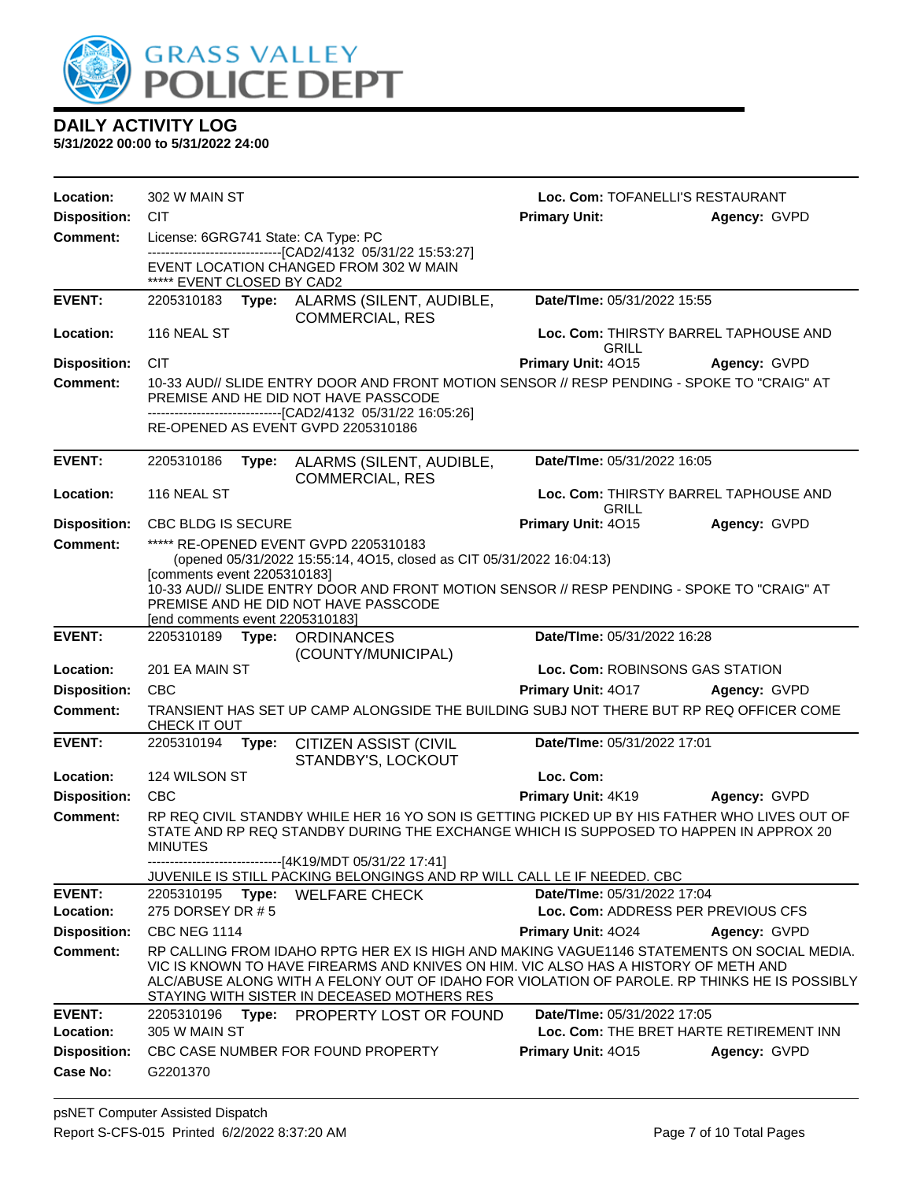

| Location:                              | 302 W MAIN ST                                                                                        |                                                                                                      |                                                                                                                                                                                                                                                                                                                                  | Loc. Com: TOFANELLI'S RESTAURANT   |                                         |  |  |
|----------------------------------------|------------------------------------------------------------------------------------------------------|------------------------------------------------------------------------------------------------------|----------------------------------------------------------------------------------------------------------------------------------------------------------------------------------------------------------------------------------------------------------------------------------------------------------------------------------|------------------------------------|-----------------------------------------|--|--|
| <b>Disposition:</b>                    | <b>CIT</b>                                                                                           |                                                                                                      |                                                                                                                                                                                                                                                                                                                                  | <b>Primary Unit:</b>               | Agency: GVPD                            |  |  |
| <b>Comment:</b>                        |                                                                                                      | License: 6GRG741 State: CA Type: PC<br>--------------------------------[CAD2/4132 05/31/22 15:53:27] |                                                                                                                                                                                                                                                                                                                                  |                                    |                                         |  |  |
|                                        | ***** EVENT CLOSED BY CAD2                                                                           |                                                                                                      | EVENT LOCATION CHANGED FROM 302 W MAIN                                                                                                                                                                                                                                                                                           |                                    |                                         |  |  |
| <b>EVENT:</b>                          |                                                                                                      |                                                                                                      | 2205310183 Type: ALARMS (SILENT, AUDIBLE,<br><b>COMMERCIAL, RES</b>                                                                                                                                                                                                                                                              | Date/TIme: 05/31/2022 15:55        |                                         |  |  |
| Location:                              | 116 NEAL ST                                                                                          |                                                                                                      |                                                                                                                                                                                                                                                                                                                                  | GRILL                              | Loc. Com: THIRSTY BARREL TAPHOUSE AND   |  |  |
| <b>Disposition:</b>                    | <b>CIT</b>                                                                                           |                                                                                                      |                                                                                                                                                                                                                                                                                                                                  | Primary Unit: 4015                 | Agency: GVPD                            |  |  |
| <b>Comment:</b>                        |                                                                                                      |                                                                                                      | 10-33 AUD// SLIDE ENTRY DOOR AND FRONT MOTION SENSOR // RESP PENDING - SPOKE TO "CRAIG" AT<br>PREMISE AND HE DID NOT HAVE PASSCODE                                                                                                                                                                                               |                                    |                                         |  |  |
|                                        |                                                                                                      |                                                                                                      | --------------------------------[CAD2/4132 05/31/22 16:05:26]<br>RE-OPENED AS EVENT GVPD 2205310186                                                                                                                                                                                                                              |                                    |                                         |  |  |
| <b>EVENT:</b>                          | 2205310186                                                                                           |                                                                                                      | Type: ALARMS (SILENT, AUDIBLE,<br><b>COMMERCIAL, RES</b>                                                                                                                                                                                                                                                                         | Date/TIme: 05/31/2022 16:05        |                                         |  |  |
| Location:                              | 116 NEAL ST                                                                                          |                                                                                                      |                                                                                                                                                                                                                                                                                                                                  | GRILL                              | Loc. Com: THIRSTY BARREL TAPHOUSE AND   |  |  |
| <b>Disposition:</b>                    | CBC BLDG IS SECURE                                                                                   |                                                                                                      |                                                                                                                                                                                                                                                                                                                                  | Primary Unit: 4015                 | Agency: GVPD                            |  |  |
| <b>Comment:</b>                        |                                                                                                      |                                                                                                      | ***** RE-OPENED EVENT GVPD 2205310183                                                                                                                                                                                                                                                                                            |                                    |                                         |  |  |
|                                        | (opened 05/31/2022 15:55:14, 4O15, closed as CIT 05/31/2022 16:04:13)<br>[comments event 2205310183] |                                                                                                      |                                                                                                                                                                                                                                                                                                                                  |                                    |                                         |  |  |
|                                        | [end comments event 2205310183]                                                                      |                                                                                                      | 10-33 AUD// SLIDE ENTRY DOOR AND FRONT MOTION SENSOR // RESP PENDING - SPOKE TO "CRAIG" AT<br>PREMISE AND HE DID NOT HAVE PASSCODE                                                                                                                                                                                               |                                    |                                         |  |  |
| <b>EVENT:</b>                          | 2205310189                                                                                           |                                                                                                      | <b>Type: ORDINANCES</b>                                                                                                                                                                                                                                                                                                          | Date/TIme: 05/31/2022 16:28        |                                         |  |  |
|                                        |                                                                                                      |                                                                                                      | (COUNTY/MUNICIPAL)                                                                                                                                                                                                                                                                                                               |                                    |                                         |  |  |
| Location:                              | 201 EA MAIN ST<br><b>CBC</b>                                                                         |                                                                                                      |                                                                                                                                                                                                                                                                                                                                  | Loc. Com: ROBINSONS GAS STATION    |                                         |  |  |
| <b>Disposition:</b><br><b>Comment:</b> |                                                                                                      |                                                                                                      | TRANSIENT HAS SET UP CAMP ALONGSIDE THE BUILDING SUBJ NOT THERE BUT RP REQ OFFICER COME                                                                                                                                                                                                                                          | Primary Unit: 4017                 | Agency: GVPD                            |  |  |
|                                        | CHECK IT OUT                                                                                         |                                                                                                      |                                                                                                                                                                                                                                                                                                                                  |                                    |                                         |  |  |
| <b>EVENT:</b>                          | 2205310194                                                                                           | Type:                                                                                                | <b>CITIZEN ASSIST (CIVIL</b><br>STANDBY'S, LOCKOUT                                                                                                                                                                                                                                                                               | Date/TIme: 05/31/2022 17:01        |                                         |  |  |
| Location:                              | 124 WILSON ST                                                                                        |                                                                                                      |                                                                                                                                                                                                                                                                                                                                  | Loc. Com:                          |                                         |  |  |
| <b>Disposition:</b>                    | <b>CBC</b>                                                                                           |                                                                                                      |                                                                                                                                                                                                                                                                                                                                  | Primary Unit: 4K19                 | Agency: GVPD                            |  |  |
| <b>Comment:</b>                        | <b>MINUTES</b>                                                                                       |                                                                                                      | RP REQ CIVIL STANDBY WHILE HER 16 YO SON IS GETTING PICKED UP BY HIS FATHER WHO LIVES OUT OF<br>STATE AND RP REQ STANDBY DURING THE EXCHANGE WHICH IS SUPPOSED TO HAPPEN IN APPROX 20                                                                                                                                            |                                    |                                         |  |  |
|                                        |                                                                                                      |                                                                                                      | ------------------------------[4K19/MDT 05/31/22 17:41]<br>JUVENILE IS STILL PACKING BELONGINGS AND RP WILL CALL LE IF NEEDED. CBC                                                                                                                                                                                               |                                    |                                         |  |  |
| <b>EVENT:</b>                          | 2205310195                                                                                           | Type:                                                                                                | <b>WELFARE CHECK</b>                                                                                                                                                                                                                                                                                                             | Date/TIme: 05/31/2022 17:04        |                                         |  |  |
| Location:                              | 275 DORSEY DR # 5                                                                                    |                                                                                                      |                                                                                                                                                                                                                                                                                                                                  | Loc. Com: ADDRESS PER PREVIOUS CFS |                                         |  |  |
| <b>Disposition:</b>                    | <b>CBC NEG 1114</b>                                                                                  |                                                                                                      |                                                                                                                                                                                                                                                                                                                                  | Primary Unit: 4024                 | Agency: GVPD                            |  |  |
| <b>Comment:</b>                        |                                                                                                      |                                                                                                      | RP CALLING FROM IDAHO RPTG HER EX IS HIGH AND MAKING VAGUE1146 STATEMENTS ON SOCIAL MEDIA.<br>VIC IS KNOWN TO HAVE FIREARMS AND KNIVES ON HIM. VIC ALSO HAS A HISTORY OF METH AND<br>ALC/ABUSE ALONG WITH A FELONY OUT OF IDAHO FOR VIOLATION OF PAROLE. RP THINKS HE IS POSSIBLY<br>STAYING WITH SISTER IN DECEASED MOTHERS RES |                                    |                                         |  |  |
| <b>EVENT:</b><br>Location:             | 2205310196<br>305 W MAIN ST                                                                          | Type:                                                                                                | <b>PROPERTY LOST OR FOUND</b>                                                                                                                                                                                                                                                                                                    | Date/TIme: 05/31/2022 17:05        | Loc. Com: THE BRET HARTE RETIREMENT INN |  |  |
| <b>Disposition:</b>                    |                                                                                                      |                                                                                                      | CBC CASE NUMBER FOR FOUND PROPERTY                                                                                                                                                                                                                                                                                               | Primary Unit: 4015                 | Agency: GVPD                            |  |  |
| <b>Case No:</b>                        | G2201370                                                                                             |                                                                                                      |                                                                                                                                                                                                                                                                                                                                  |                                    |                                         |  |  |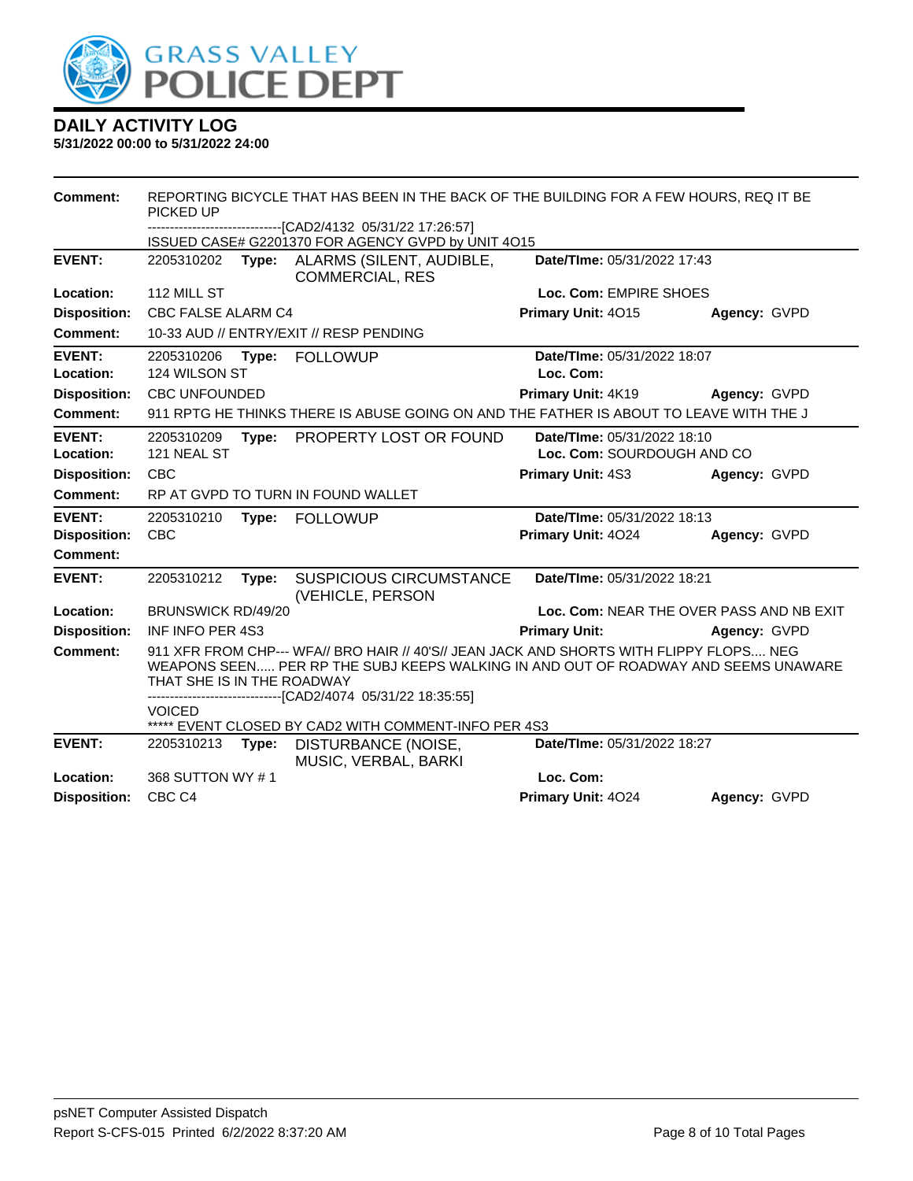

| Comment:                   | PICKED UP                   |       | REPORTING BICYCLE THAT HAS BEEN IN THE BACK OF THE BUILDING FOR A FEW HOURS, REQ IT BE                                                                                                                                                  |                                                           |              |
|----------------------------|-----------------------------|-------|-----------------------------------------------------------------------------------------------------------------------------------------------------------------------------------------------------------------------------------------|-----------------------------------------------------------|--------------|
|                            |                             |       | -------------------------------[CAD2/4132_05/31/22_17:26:57]<br>ISSUED CASE# G2201370 FOR AGENCY GVPD by UNIT 4O15                                                                                                                      |                                                           |              |
| <b>EVENT:</b>              | 2205310202                  | Type: | ALARMS (SILENT, AUDIBLE,<br><b>COMMERCIAL, RES</b>                                                                                                                                                                                      | Date/TIme: 05/31/2022 17:43                               |              |
| Location:                  | 112 MILL ST                 |       |                                                                                                                                                                                                                                         | Loc. Com: EMPIRE SHOES                                    |              |
| <b>Disposition:</b>        | CBC FALSE ALARM C4          |       |                                                                                                                                                                                                                                         | Primary Unit: 4015                                        | Agency: GVPD |
| Comment:                   |                             |       | 10-33 AUD // ENTRY/EXIT // RESP PENDING                                                                                                                                                                                                 |                                                           |              |
| <b>EVENT:</b><br>Location: | 2205310206<br>124 WILSON ST | Type: | <b>FOLLOWUP</b>                                                                                                                                                                                                                         | Date/TIme: 05/31/2022 18:07<br>Loc. Com:                  |              |
| <b>Disposition:</b>        | <b>CBC UNFOUNDED</b>        |       |                                                                                                                                                                                                                                         | Primary Unit: 4K19                                        | Agency: GVPD |
| <b>Comment:</b>            |                             |       | 911 RPTG HE THINKS THERE IS ABUSE GOING ON AND THE FATHER IS ABOUT TO LEAVE WITH THE J                                                                                                                                                  |                                                           |              |
| <b>EVENT:</b><br>Location: | 2205310209<br>121 NEAL ST   | Type: | PROPERTY LOST OR FOUND                                                                                                                                                                                                                  | Date/TIme: 05/31/2022 18:10<br>Loc. Com: SOURDOUGH AND CO |              |
| <b>Disposition:</b>        | <b>CBC</b>                  |       |                                                                                                                                                                                                                                         | Primary Unit: 4S3                                         | Agency: GVPD |
| Comment:                   |                             |       | RP AT GVPD TO TURN IN FOUND WALLET                                                                                                                                                                                                      |                                                           |              |
| <b>EVENT:</b>              | 2205310210                  | Type: | <b>FOLLOWUP</b>                                                                                                                                                                                                                         | Date/TIme: 05/31/2022 18:13                               |              |
| <b>Disposition:</b>        | <b>CBC</b>                  |       |                                                                                                                                                                                                                                         | Primary Unit: 4024                                        | Agency: GVPD |
| Comment:                   |                             |       |                                                                                                                                                                                                                                         |                                                           |              |
| <b>EVENT:</b>              | 2205310212                  | Type: | <b>SUSPICIOUS CIRCUMSTANCE</b><br>(VEHICLE, PERSON                                                                                                                                                                                      | Date/TIme: 05/31/2022 18:21                               |              |
| Location:                  | <b>BRUNSWICK RD/49/20</b>   |       |                                                                                                                                                                                                                                         | Loc. Com: NEAR THE OVER PASS AND NB EXIT                  |              |
| <b>Disposition:</b>        | <b>INF INFO PER 4S3</b>     |       |                                                                                                                                                                                                                                         | <b>Primary Unit:</b>                                      | Agency: GVPD |
| <b>Comment:</b>            | THAT SHE IS IN THE ROADWAY  |       | 911 XFR FROM CHP--- WFA// BRO HAIR // 40'S// JEAN JACK AND SHORTS WITH FLIPPY FLOPS NEG<br>WEAPONS SEEN PER RP THE SUBJ KEEPS WALKING IN AND OUT OF ROADWAY AND SEEMS UNAWARE<br>-------------------------[CAD2/4074_05/31/22 18:35:55] |                                                           |              |
|                            | <b>VOICED</b>               |       | ***** EVENT CLOSED BY CAD2 WITH COMMENT-INFO PER 4S3                                                                                                                                                                                    |                                                           |              |
| <b>EVENT:</b>              | 2205310213                  | Type: | DISTURBANCE (NOISE,<br>MUSIC, VERBAL, BARKI                                                                                                                                                                                             | Date/TIme: 05/31/2022 18:27                               |              |
| Location:                  | 368 SUTTON WY #1            |       |                                                                                                                                                                                                                                         | Loc. Com:                                                 |              |
| <b>Disposition:</b>        | CBC <sub>C4</sub>           |       |                                                                                                                                                                                                                                         | Primary Unit: 4024                                        | Agency: GVPD |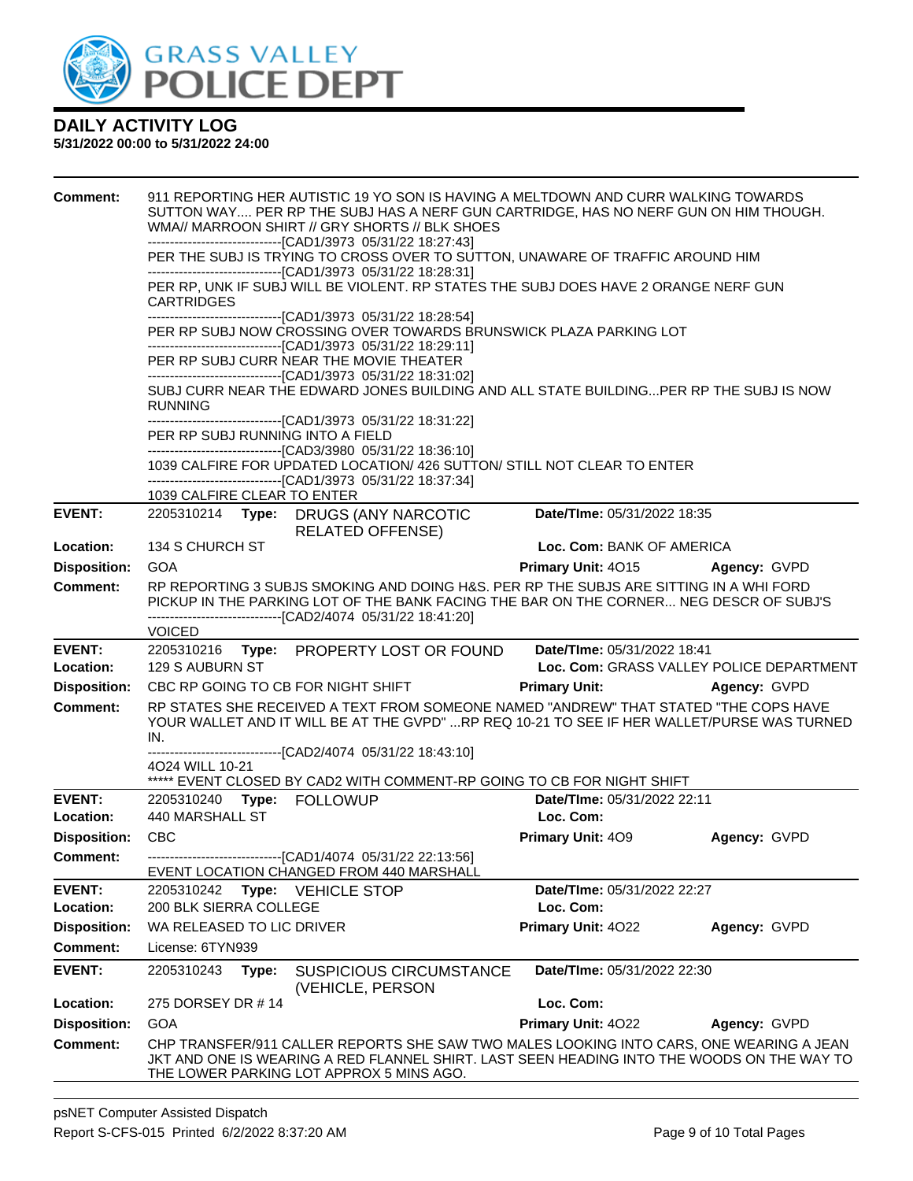

| 1039 CALFIRE CLEAR TO ENTER<br><b>EVENT:</b><br>Date/TIme: 05/31/2022 18:35<br>2205310214 Type: DRUGS (ANY NARCOTIC<br><b>RELATED OFFENSE)</b><br>134 S CHURCH ST<br>Loc. Com: BANK OF AMERICA<br>Location:<br><b>Disposition:</b><br><b>GOA</b><br><b>Primary Unit: 4015</b><br>Agency: GVPD<br><b>Comment:</b><br>RP REPORTING 3 SUBJS SMOKING AND DOING H&S. PER RP THE SUBJS ARE SITTING IN A WHI FORD<br>PICKUP IN THE PARKING LOT OF THE BANK FACING THE BAR ON THE CORNER NEG DESCR OF SUBJ'S<br>--------------------------------[CAD2/4074 05/31/22 18:41:20]<br><b>VOICED</b><br><b>EVENT:</b><br>Date/TIme: 05/31/2022 18:41<br>2205310216 Type: PROPERTY LOST OR FOUND<br>Location:<br>129 S AUBURN ST<br>Loc. Com: GRASS VALLEY POLICE DEPARTMENT<br><b>Disposition:</b><br>CBC RP GOING TO CB FOR NIGHT SHIFT<br><b>Primary Unit:</b><br>Agency: GVPD<br>RP STATES SHE RECEIVED A TEXT FROM SOMEONE NAMED "ANDREW" THAT STATED "THE COPS HAVE<br><b>Comment:</b><br>YOUR WALLET AND IT WILL BE AT THE GVPD" RP REQ 10-21 TO SEE IF HER WALLET/PURSE WAS TURNED<br>IN.<br>------------------------------[CAD2/4074_05/31/22 18:43:10]<br>4024 WILL 10-21<br>***** EVENT CLOSED BY CAD2 WITH COMMENT-RP GOING TO CB FOR NIGHT SHIFT<br><b>EVENT:</b><br>2205310240 Type: FOLLOWUP<br>Date/TIme: 05/31/2022 22:11<br>Location:<br>440 MARSHALL ST<br>Loc. Com:<br><b>CBC</b><br><b>Disposition:</b><br><b>Primary Unit: 409</b><br>Agency: GVPD<br>---------------[CAD1/4074_05/31/22 22:13:56]<br><b>Comment:</b><br>EVENT LOCATION CHANGED FROM 440 MARSHALL<br><b>EVENT:</b><br>Date/TIme: 05/31/2022 22:27<br>2205310242<br>Type: VEHICLE STOP<br>200 BLK SIERRA COLLEGE<br>Loc. Com:<br>Location:<br>Primary Unit: 4022<br><b>Disposition:</b><br>WA RELEASED TO LIC DRIVER<br>Agency: GVPD<br><b>Comment:</b><br>License: 6TYN939<br><b>EVENT:</b><br>Date/TIme: 05/31/2022 22:30<br>2205310243<br>Type:<br><b>SUSPICIOUS CIRCUMSTANCE</b><br>(VEHICLE, PERSON<br>Location:<br>275 DORSEY DR #14<br>Loc. Com:<br><b>GOA</b><br>Primary Unit: 4022<br><b>Disposition:</b><br>Agency: GVPD<br><b>Comment:</b><br>CHP TRANSFER/911 CALLER REPORTS SHE SAW TWO MALES LOOKING INTO CARS, ONE WEARING A JEAN<br>JKT AND ONE IS WEARING A RED FLANNEL SHIRT. LAST SEEN HEADING INTO THE WOODS ON THE WAY TO<br>THE LOWER PARKING LOT APPROX 5 MINS AGO. | <b>Comment:</b> | <b>CARTRIDGES</b><br><b>RUNNING</b><br>PER RP SUBJ RUNNING INTO A FIELD | 911 REPORTING HER AUTISTIC 19 YO SON IS HAVING A MELTDOWN AND CURR WALKING TOWARDS<br>SUTTON WAY PER RP THE SUBJ HAS A NERF GUN CARTRIDGE, HAS NO NERF GUN ON HIM THOUGH.<br>WMA// MARROON SHIRT // GRY SHORTS // BLK SHOES<br>--------------------------------[CAD1/3973 05/31/22 18:27:43]<br>PER THE SUBJ IS TRYING TO CROSS OVER TO SUTTON, UNAWARE OF TRAFFIC AROUND HIM<br>---------------------------------[CAD1/3973 05/31/22 18:28:31]<br>PER RP, UNK IF SUBJ WILL BE VIOLENT. RP STATES THE SUBJ DOES HAVE 2 ORANGE NERF GUN<br>-------------------------------[CAD1/3973 05/31/22 18:28:54]<br>PER RP SUBJ NOW CROSSING OVER TOWARDS BRUNSWICK PLAZA PARKING LOT<br>---------------------------------[CAD1/3973 05/31/22 18:29:11]<br>PER RP SUBJ CURR NEAR THE MOVIE THEATER<br>--------------------------------[CAD1/3973 05/31/22 18:31:02]<br>SUBJ CURR NEAR THE EDWARD JONES BUILDING AND ALL STATE BUILDINGPER RP THE SUBJ IS NOW<br>--------------------------------[CAD1/3973 05/31/22 18:31:22]<br>----------------------------------[CAD3/3980 05/31/22 18:36:10]<br>1039 CALFIRE FOR UPDATED LOCATION/ 426 SUTTON/ STILL NOT CLEAR TO ENTER<br>-------------------------------[CAD1/3973 05/31/22 18:37:34] |  |
|------------------------------------------------------------------------------------------------------------------------------------------------------------------------------------------------------------------------------------------------------------------------------------------------------------------------------------------------------------------------------------------------------------------------------------------------------------------------------------------------------------------------------------------------------------------------------------------------------------------------------------------------------------------------------------------------------------------------------------------------------------------------------------------------------------------------------------------------------------------------------------------------------------------------------------------------------------------------------------------------------------------------------------------------------------------------------------------------------------------------------------------------------------------------------------------------------------------------------------------------------------------------------------------------------------------------------------------------------------------------------------------------------------------------------------------------------------------------------------------------------------------------------------------------------------------------------------------------------------------------------------------------------------------------------------------------------------------------------------------------------------------------------------------------------------------------------------------------------------------------------------------------------------------------------------------------------------------------------------------------------------------------------------------------------------------------------------------------------------------------------------------------------------------------------------------------------------------------------------------------------------------------------------------------------------------------------------------------------------------|-----------------|-------------------------------------------------------------------------|-----------------------------------------------------------------------------------------------------------------------------------------------------------------------------------------------------------------------------------------------------------------------------------------------------------------------------------------------------------------------------------------------------------------------------------------------------------------------------------------------------------------------------------------------------------------------------------------------------------------------------------------------------------------------------------------------------------------------------------------------------------------------------------------------------------------------------------------------------------------------------------------------------------------------------------------------------------------------------------------------------------------------------------------------------------------------------------------------------------------------------------------------------------------------------------------------------------------------------------|--|
|                                                                                                                                                                                                                                                                                                                                                                                                                                                                                                                                                                                                                                                                                                                                                                                                                                                                                                                                                                                                                                                                                                                                                                                                                                                                                                                                                                                                                                                                                                                                                                                                                                                                                                                                                                                                                                                                                                                                                                                                                                                                                                                                                                                                                                                                                                                                                                  |                 |                                                                         |                                                                                                                                                                                                                                                                                                                                                                                                                                                                                                                                                                                                                                                                                                                                                                                                                                                                                                                                                                                                                                                                                                                                                                                                                                   |  |
|                                                                                                                                                                                                                                                                                                                                                                                                                                                                                                                                                                                                                                                                                                                                                                                                                                                                                                                                                                                                                                                                                                                                                                                                                                                                                                                                                                                                                                                                                                                                                                                                                                                                                                                                                                                                                                                                                                                                                                                                                                                                                                                                                                                                                                                                                                                                                                  |                 |                                                                         |                                                                                                                                                                                                                                                                                                                                                                                                                                                                                                                                                                                                                                                                                                                                                                                                                                                                                                                                                                                                                                                                                                                                                                                                                                   |  |
|                                                                                                                                                                                                                                                                                                                                                                                                                                                                                                                                                                                                                                                                                                                                                                                                                                                                                                                                                                                                                                                                                                                                                                                                                                                                                                                                                                                                                                                                                                                                                                                                                                                                                                                                                                                                                                                                                                                                                                                                                                                                                                                                                                                                                                                                                                                                                                  |                 |                                                                         |                                                                                                                                                                                                                                                                                                                                                                                                                                                                                                                                                                                                                                                                                                                                                                                                                                                                                                                                                                                                                                                                                                                                                                                                                                   |  |
|                                                                                                                                                                                                                                                                                                                                                                                                                                                                                                                                                                                                                                                                                                                                                                                                                                                                                                                                                                                                                                                                                                                                                                                                                                                                                                                                                                                                                                                                                                                                                                                                                                                                                                                                                                                                                                                                                                                                                                                                                                                                                                                                                                                                                                                                                                                                                                  |                 |                                                                         |                                                                                                                                                                                                                                                                                                                                                                                                                                                                                                                                                                                                                                                                                                                                                                                                                                                                                                                                                                                                                                                                                                                                                                                                                                   |  |
|                                                                                                                                                                                                                                                                                                                                                                                                                                                                                                                                                                                                                                                                                                                                                                                                                                                                                                                                                                                                                                                                                                                                                                                                                                                                                                                                                                                                                                                                                                                                                                                                                                                                                                                                                                                                                                                                                                                                                                                                                                                                                                                                                                                                                                                                                                                                                                  |                 |                                                                         |                                                                                                                                                                                                                                                                                                                                                                                                                                                                                                                                                                                                                                                                                                                                                                                                                                                                                                                                                                                                                                                                                                                                                                                                                                   |  |
|                                                                                                                                                                                                                                                                                                                                                                                                                                                                                                                                                                                                                                                                                                                                                                                                                                                                                                                                                                                                                                                                                                                                                                                                                                                                                                                                                                                                                                                                                                                                                                                                                                                                                                                                                                                                                                                                                                                                                                                                                                                                                                                                                                                                                                                                                                                                                                  |                 |                                                                         |                                                                                                                                                                                                                                                                                                                                                                                                                                                                                                                                                                                                                                                                                                                                                                                                                                                                                                                                                                                                                                                                                                                                                                                                                                   |  |
|                                                                                                                                                                                                                                                                                                                                                                                                                                                                                                                                                                                                                                                                                                                                                                                                                                                                                                                                                                                                                                                                                                                                                                                                                                                                                                                                                                                                                                                                                                                                                                                                                                                                                                                                                                                                                                                                                                                                                                                                                                                                                                                                                                                                                                                                                                                                                                  |                 |                                                                         |                                                                                                                                                                                                                                                                                                                                                                                                                                                                                                                                                                                                                                                                                                                                                                                                                                                                                                                                                                                                                                                                                                                                                                                                                                   |  |
|                                                                                                                                                                                                                                                                                                                                                                                                                                                                                                                                                                                                                                                                                                                                                                                                                                                                                                                                                                                                                                                                                                                                                                                                                                                                                                                                                                                                                                                                                                                                                                                                                                                                                                                                                                                                                                                                                                                                                                                                                                                                                                                                                                                                                                                                                                                                                                  |                 |                                                                         |                                                                                                                                                                                                                                                                                                                                                                                                                                                                                                                                                                                                                                                                                                                                                                                                                                                                                                                                                                                                                                                                                                                                                                                                                                   |  |
|                                                                                                                                                                                                                                                                                                                                                                                                                                                                                                                                                                                                                                                                                                                                                                                                                                                                                                                                                                                                                                                                                                                                                                                                                                                                                                                                                                                                                                                                                                                                                                                                                                                                                                                                                                                                                                                                                                                                                                                                                                                                                                                                                                                                                                                                                                                                                                  |                 |                                                                         |                                                                                                                                                                                                                                                                                                                                                                                                                                                                                                                                                                                                                                                                                                                                                                                                                                                                                                                                                                                                                                                                                                                                                                                                                                   |  |
|                                                                                                                                                                                                                                                                                                                                                                                                                                                                                                                                                                                                                                                                                                                                                                                                                                                                                                                                                                                                                                                                                                                                                                                                                                                                                                                                                                                                                                                                                                                                                                                                                                                                                                                                                                                                                                                                                                                                                                                                                                                                                                                                                                                                                                                                                                                                                                  |                 |                                                                         |                                                                                                                                                                                                                                                                                                                                                                                                                                                                                                                                                                                                                                                                                                                                                                                                                                                                                                                                                                                                                                                                                                                                                                                                                                   |  |
|                                                                                                                                                                                                                                                                                                                                                                                                                                                                                                                                                                                                                                                                                                                                                                                                                                                                                                                                                                                                                                                                                                                                                                                                                                                                                                                                                                                                                                                                                                                                                                                                                                                                                                                                                                                                                                                                                                                                                                                                                                                                                                                                                                                                                                                                                                                                                                  |                 |                                                                         |                                                                                                                                                                                                                                                                                                                                                                                                                                                                                                                                                                                                                                                                                                                                                                                                                                                                                                                                                                                                                                                                                                                                                                                                                                   |  |
|                                                                                                                                                                                                                                                                                                                                                                                                                                                                                                                                                                                                                                                                                                                                                                                                                                                                                                                                                                                                                                                                                                                                                                                                                                                                                                                                                                                                                                                                                                                                                                                                                                                                                                                                                                                                                                                                                                                                                                                                                                                                                                                                                                                                                                                                                                                                                                  |                 |                                                                         |                                                                                                                                                                                                                                                                                                                                                                                                                                                                                                                                                                                                                                                                                                                                                                                                                                                                                                                                                                                                                                                                                                                                                                                                                                   |  |
|                                                                                                                                                                                                                                                                                                                                                                                                                                                                                                                                                                                                                                                                                                                                                                                                                                                                                                                                                                                                                                                                                                                                                                                                                                                                                                                                                                                                                                                                                                                                                                                                                                                                                                                                                                                                                                                                                                                                                                                                                                                                                                                                                                                                                                                                                                                                                                  |                 |                                                                         |                                                                                                                                                                                                                                                                                                                                                                                                                                                                                                                                                                                                                                                                                                                                                                                                                                                                                                                                                                                                                                                                                                                                                                                                                                   |  |
|                                                                                                                                                                                                                                                                                                                                                                                                                                                                                                                                                                                                                                                                                                                                                                                                                                                                                                                                                                                                                                                                                                                                                                                                                                                                                                                                                                                                                                                                                                                                                                                                                                                                                                                                                                                                                                                                                                                                                                                                                                                                                                                                                                                                                                                                                                                                                                  |                 |                                                                         |                                                                                                                                                                                                                                                                                                                                                                                                                                                                                                                                                                                                                                                                                                                                                                                                                                                                                                                                                                                                                                                                                                                                                                                                                                   |  |
|                                                                                                                                                                                                                                                                                                                                                                                                                                                                                                                                                                                                                                                                                                                                                                                                                                                                                                                                                                                                                                                                                                                                                                                                                                                                                                                                                                                                                                                                                                                                                                                                                                                                                                                                                                                                                                                                                                                                                                                                                                                                                                                                                                                                                                                                                                                                                                  |                 |                                                                         |                                                                                                                                                                                                                                                                                                                                                                                                                                                                                                                                                                                                                                                                                                                                                                                                                                                                                                                                                                                                                                                                                                                                                                                                                                   |  |
|                                                                                                                                                                                                                                                                                                                                                                                                                                                                                                                                                                                                                                                                                                                                                                                                                                                                                                                                                                                                                                                                                                                                                                                                                                                                                                                                                                                                                                                                                                                                                                                                                                                                                                                                                                                                                                                                                                                                                                                                                                                                                                                                                                                                                                                                                                                                                                  |                 |                                                                         |                                                                                                                                                                                                                                                                                                                                                                                                                                                                                                                                                                                                                                                                                                                                                                                                                                                                                                                                                                                                                                                                                                                                                                                                                                   |  |
|                                                                                                                                                                                                                                                                                                                                                                                                                                                                                                                                                                                                                                                                                                                                                                                                                                                                                                                                                                                                                                                                                                                                                                                                                                                                                                                                                                                                                                                                                                                                                                                                                                                                                                                                                                                                                                                                                                                                                                                                                                                                                                                                                                                                                                                                                                                                                                  |                 |                                                                         |                                                                                                                                                                                                                                                                                                                                                                                                                                                                                                                                                                                                                                                                                                                                                                                                                                                                                                                                                                                                                                                                                                                                                                                                                                   |  |
|                                                                                                                                                                                                                                                                                                                                                                                                                                                                                                                                                                                                                                                                                                                                                                                                                                                                                                                                                                                                                                                                                                                                                                                                                                                                                                                                                                                                                                                                                                                                                                                                                                                                                                                                                                                                                                                                                                                                                                                                                                                                                                                                                                                                                                                                                                                                                                  |                 |                                                                         |                                                                                                                                                                                                                                                                                                                                                                                                                                                                                                                                                                                                                                                                                                                                                                                                                                                                                                                                                                                                                                                                                                                                                                                                                                   |  |
|                                                                                                                                                                                                                                                                                                                                                                                                                                                                                                                                                                                                                                                                                                                                                                                                                                                                                                                                                                                                                                                                                                                                                                                                                                                                                                                                                                                                                                                                                                                                                                                                                                                                                                                                                                                                                                                                                                                                                                                                                                                                                                                                                                                                                                                                                                                                                                  |                 |                                                                         |                                                                                                                                                                                                                                                                                                                                                                                                                                                                                                                                                                                                                                                                                                                                                                                                                                                                                                                                                                                                                                                                                                                                                                                                                                   |  |
|                                                                                                                                                                                                                                                                                                                                                                                                                                                                                                                                                                                                                                                                                                                                                                                                                                                                                                                                                                                                                                                                                                                                                                                                                                                                                                                                                                                                                                                                                                                                                                                                                                                                                                                                                                                                                                                                                                                                                                                                                                                                                                                                                                                                                                                                                                                                                                  |                 |                                                                         |                                                                                                                                                                                                                                                                                                                                                                                                                                                                                                                                                                                                                                                                                                                                                                                                                                                                                                                                                                                                                                                                                                                                                                                                                                   |  |
|                                                                                                                                                                                                                                                                                                                                                                                                                                                                                                                                                                                                                                                                                                                                                                                                                                                                                                                                                                                                                                                                                                                                                                                                                                                                                                                                                                                                                                                                                                                                                                                                                                                                                                                                                                                                                                                                                                                                                                                                                                                                                                                                                                                                                                                                                                                                                                  |                 |                                                                         |                                                                                                                                                                                                                                                                                                                                                                                                                                                                                                                                                                                                                                                                                                                                                                                                                                                                                                                                                                                                                                                                                                                                                                                                                                   |  |